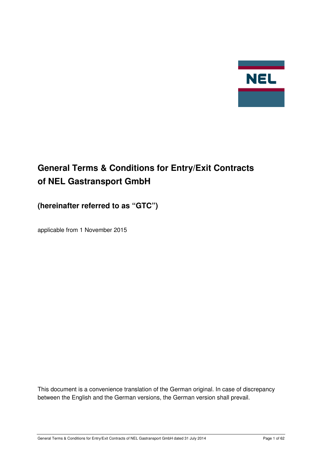

# **General Terms & Conditions for Entry/Exit Contracts of NEL Gastransport GmbH**

## **(hereinafter referred to as "GTC")**

applicable from 1 November 2015

This document is a convenience translation of the German original. In case of discrepancy between the English and the German versions, the German version shall prevail.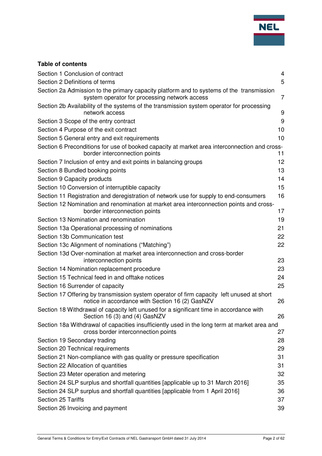

## **Table of contents**

| Section 1 Conclusion of contract                                                                                                             | $\overline{4}$ |
|----------------------------------------------------------------------------------------------------------------------------------------------|----------------|
| Section 2 Definitions of terms                                                                                                               | 5              |
| Section 2a Admission to the primary capacity platform and to systems of the transmission<br>system operator for processing network access    | 7              |
| Section 2b Availability of the systems of the transmission system operator for processing<br>network access                                  | 9              |
| Section 3 Scope of the entry contract                                                                                                        | 9              |
| Section 4 Purpose of the exit contract                                                                                                       | 10             |
| Section 5 General entry and exit requirements                                                                                                | 10             |
| Section 6 Preconditions for use of booked capacity at market area interconnection and cross-<br>border interconnection points                | 11             |
| Section 7 Inclusion of entry and exit points in balancing groups                                                                             | 12             |
| Section 8 Bundled booking points                                                                                                             | 13             |
| Section 9 Capacity products                                                                                                                  | 14             |
| Section 10 Conversion of interruptible capacity                                                                                              | 15             |
| Section 11 Registration and deregistration of network use for supply to end-consumers                                                        | 16             |
| Section 12 Nomination and renomination at market area interconnection points and cross-<br>border interconnection points                     | 17             |
| Section 13 Nomination and renomination                                                                                                       | 19             |
| Section 13a Operational processing of nominations                                                                                            | 21             |
| Section 13b Communication test                                                                                                               | 22             |
| Section 13c Alignment of nominations ("Matching")                                                                                            | 22             |
| Section 13d Over-nomination at market area interconnection and cross-border<br>interconnection points                                        | 23             |
| Section 14 Nomination replacement procedure                                                                                                  | 23             |
| Section 15 Technical feed in and offtake notices                                                                                             | 24             |
| Section 16 Surrender of capacity                                                                                                             | 25             |
| Section 17 Offering by transmission system operator of firm capacity left unused at short<br>notice in accordance with Section 16 (2) GasNZV | 26             |
| Section 18 Withdrawal of capacity left unused for a significant time in accordance with<br>Section 16 (3) and (4) GasNZV                     | 26             |
| Section 18a Withdrawal of capacities insufficiently used in the long term at market area and<br>cross border interconnection points          | 27             |
| Section 19 Secondary trading                                                                                                                 | 28             |
| Section 20 Technical requirements                                                                                                            | 29             |
| Section 21 Non-compliance with gas quality or pressure specification                                                                         | 31             |
| Section 22 Allocation of quantities                                                                                                          | 31             |
| Section 23 Meter operation and metering                                                                                                      | 32             |
| Section 24 SLP surplus and shortfall quantities [applicable up to 31 March 2016]                                                             | 35             |
| Section 24 SLP surplus and shortfall quantities [applicable from 1 April 2016]                                                               | 36             |
| Section 25 Tariffs                                                                                                                           | 37             |
| Section 26 Invoicing and payment                                                                                                             | 39             |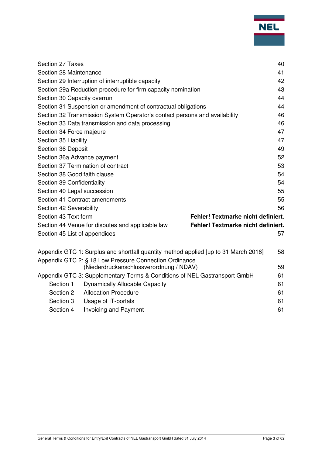|                                                                            |                                                                                                   |                                    | 40 |
|----------------------------------------------------------------------------|---------------------------------------------------------------------------------------------------|------------------------------------|----|
| Section 27 Taxes                                                           |                                                                                                   |                                    |    |
| Section 28 Maintenance                                                     |                                                                                                   |                                    | 41 |
| Section 29 Interruption of interruptible capacity                          |                                                                                                   |                                    | 42 |
|                                                                            | Section 29a Reduction procedure for firm capacity nomination                                      |                                    | 43 |
| Section 30 Capacity overrun                                                |                                                                                                   |                                    | 44 |
| Section 31 Suspension or amendment of contractual obligations              |                                                                                                   | 44                                 |    |
| Section 32 Transmission System Operator's contact persons and availability |                                                                                                   | 46                                 |    |
| Section 33 Data transmission and data processing                           |                                                                                                   |                                    | 46 |
| Section 34 Force majeure                                                   |                                                                                                   |                                    | 47 |
| Section 35 Liability                                                       |                                                                                                   |                                    | 47 |
| Section 36 Deposit                                                         |                                                                                                   |                                    | 49 |
| Section 36a Advance payment                                                |                                                                                                   |                                    | 52 |
| Section 37 Termination of contract                                         |                                                                                                   |                                    | 53 |
| Section 38 Good faith clause                                               |                                                                                                   |                                    | 54 |
| Section 39 Confidentiality                                                 |                                                                                                   |                                    | 54 |
| Section 40 Legal succession                                                |                                                                                                   |                                    | 55 |
| Section 41 Contract amendments                                             |                                                                                                   |                                    | 55 |
| Section 42 Severability                                                    |                                                                                                   |                                    | 56 |
| Section 43 Text form                                                       |                                                                                                   | Fehler! Textmarke nicht definiert. |    |
|                                                                            | Section 44 Venue for disputes and applicable law                                                  | Fehler! Textmarke nicht definiert. |    |
| Section 45 List of appendices                                              |                                                                                                   |                                    | 57 |
|                                                                            |                                                                                                   |                                    |    |
|                                                                            | Appendix GTC 1: Surplus and shortfall quantity method applied [up to 31 March 2016]               |                                    | 58 |
|                                                                            | Appendix GTC 2: § 18 Low Pressure Connection Ordinance<br>(Niederdruckanschlussverordnung / NDAV) |                                    | 59 |
|                                                                            | Appendix GTC 3: Supplementary Terms & Conditions of NEL Gastransport GmbH                         |                                    | 61 |
| Section 1                                                                  | <b>Dynamically Allocable Capacity</b>                                                             |                                    | 61 |
| Section 2                                                                  | <b>Allocation Procedure</b>                                                                       |                                    | 61 |
| Section 3                                                                  | Usage of IT-portals                                                                               |                                    | 61 |
| Section 4                                                                  | <b>Invoicing and Payment</b>                                                                      |                                    | 61 |
|                                                                            |                                                                                                   |                                    |    |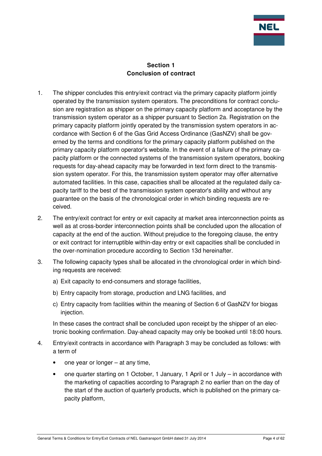

#### **Section 1 Conclusion of contract**

- 1. The shipper concludes this entry/exit contract via the primary capacity platform jointly operated by the transmission system operators. The preconditions for contract conclusion are registration as shipper on the primary capacity platform and acceptance by the transmission system operator as a shipper pursuant to Section 2a. Registration on the primary capacity platform jointly operated by the transmission system operators in accordance with Section 6 of the Gas Grid Access Ordinance (GasNZV) shall be governed by the terms and conditions for the primary capacity platform published on the primary capacity platform operator's website. In the event of a failure of the primary capacity platform or the connected systems of the transmission system operators, booking requests for day-ahead capacity may be forwarded in text form direct to the transmission system operator. For this, the transmission system operator may offer alternative automated facilities. In this case, capacities shall be allocated at the regulated daily capacity tariff to the best of the transmission system operator's ability and without any guarantee on the basis of the chronological order in which binding requests are received.
- 2. The entry/exit contract for entry or exit capacity at market area interconnection points as well as at cross-border interconnection points shall be concluded upon the allocation of capacity at the end of the auction. Without prejudice to the foregoing clause, the entry or exit contract for interruptible within-day entry or exit capacities shall be concluded in the over-nomination procedure according to Section 13d hereinafter.
- 3. The following capacity types shall be allocated in the chronological order in which binding requests are received:
	- a) Exit capacity to end-consumers and storage facilities,
	- b) Entry capacity from storage, production and LNG facilities, and
	- c) Entry capacity from facilities within the meaning of Section 6 of GasNZV for biogas injection.

In these cases the contract shall be concluded upon receipt by the shipper of an electronic booking confirmation. Day-ahead capacity may only be booked until 18:00 hours.

- 4. Entry/exit contracts in accordance with Paragraph 3 may be concluded as follows: with a term of
	- one year or longer at any time,
	- one quarter starting on 1 October, 1 January, 1 April or 1 July in accordance with the marketing of capacities according to Paragraph 2 no earlier than on the day of the start of the auction of quarterly products, which is published on the primary capacity platform,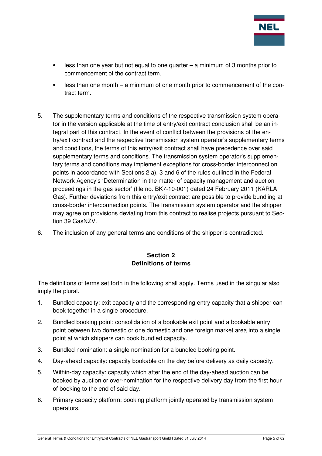

- $\epsilon$  less than one year but not equal to one quarter a minimum of 3 months prior to commencement of the contract term,
- less than one month a minimum of one month prior to commencement of the contract term.
- 5. The supplementary terms and conditions of the respective transmission system operator in the version applicable at the time of entry/exit contract conclusion shall be an integral part of this contract. In the event of conflict between the provisions of the entry/exit contract and the respective transmission system operator's supplementary terms and conditions, the terms of this entry/exit contract shall have precedence over said supplementary terms and conditions. The transmission system operator's supplementary terms and conditions may implement exceptions for cross-border interconnection points in accordance with Sections 2 a), 3 and 6 of the rules outlined in the Federal Network Agency's 'Determination in the matter of capacity management and auction proceedings in the gas sector' (file no. BK7-10-001) dated 24 February 2011 (KARLA Gas). Further deviations from this entry/exit contract are possible to provide bundling at cross-border interconnection points. The transmission system operator and the shipper may agree on provisions deviating from this contract to realise projects pursuant to Section 39 GasNZV.
- 6. The inclusion of any general terms and conditions of the shipper is contradicted.

## **Section 2 Definitions of terms**

The definitions of terms set forth in the following shall apply. Terms used in the singular also imply the plural.

- 1. Bundled capacity: exit capacity and the corresponding entry capacity that a shipper can book together in a single procedure.
- 2. Bundled booking point: consolidation of a bookable exit point and a bookable entry point between two domestic or one domestic and one foreign market area into a single point at which shippers can book bundled capacity.
- 3. Bundled nomination: a single nomination for a bundled booking point.
- 4. Day-ahead capacity: capacity bookable on the day before delivery as daily capacity.
- 5. Within-day capacity: capacity which after the end of the day-ahead auction can be booked by auction or over-nomination for the respective delivery day from the first hour of booking to the end of said day.
- 6. Primary capacity platform: booking platform jointly operated by transmission system operators.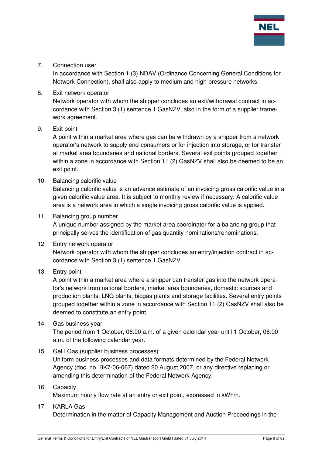

7. Connection user

In accordance with Section 1 (3) NDAV (Ordinance Concerning General Conditions for Network Connection), shall also apply to medium and high-pressure networks.

8. Exit network operator Network operator with whom the shipper concludes an exit/withdrawal contract in accordance with Section 3 (1) sentence 1 GasNZV, also in the form of a supplier framework agreement.

#### 9. Exit point

A point within a market area where gas can be withdrawn by a shipper from a network operator's network to supply end-consumers or for injection into storage, or for transfer at market area boundaries and national borders. Several exit points grouped together within a zone in accordance with Section 11 (2) GasNZV shall also be deemed to be an exit point.

10. Balancing calorific value

Balancing calorific value is an advance estimate of an invoicing gross calorific value in a given calorific value area. It is subject to monthly review if necessary. A calorific value area is a network area in which a single invoicing gross calorific value is applied.

#### 11. Balancing group number

A unique number assigned by the market area coordinator for a balancing group that principally serves the identification of gas quantity nominations/renominations.

- 12. Entry network operator Network operator with whom the shipper concludes an entry/injection contract in accordance with Section 3 (1) sentence 1 GasNZV.
- 13. Entry point

A point within a market area where a shipper can transfer gas into the network operator's network from national borders, market area boundaries, domestic sources and production plants, LNG plants, biogas plants and storage facilities. Several entry points grouped together within a zone in accordance with Section 11 (2) GasNZV shall also be deemed to constitute an entry point.

14. Gas business year

The period from 1 October, 06:00 a.m. of a given calendar year until 1 October, 06:00 a.m. of the following calendar year.

15. GeLi Gas (supplier business processes)

Uniform business processes and data formats determined by the Federal Network Agency (doc. no. BK7-06-067) dated 20 August 2007, or any directive replacing or amending this determination of the Federal Network Agency.

#### 16. Capacity

Maximum hourly flow rate at an entry or exit point, expressed in kWh/h.

#### 17. KARLA Gas

Determination in the matter of Capacity Management and Auction Proceedings in the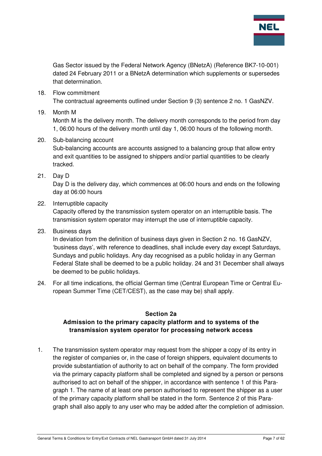

Gas Sector issued by the Federal Network Agency (BNetzA) (Reference BK7-10-001) dated 24 February 2011 or a BNetzA determination which supplements or supersedes that determination.

18. Flow commitment

The contractual agreements outlined under Section 9 (3) sentence 2 no. 1 GasNZV.

#### 19. Month M

Month M is the delivery month. The delivery month corresponds to the period from day 1, 06:00 hours of the delivery month until day 1, 06:00 hours of the following month.

- 20. Sub-balancing account Sub-balancing accounts are accounts assigned to a balancing group that allow entry and exit quantities to be assigned to shippers and/or partial quantities to be clearly tracked.
- 21. Day D

Day D is the delivery day, which commences at 06:00 hours and ends on the following day at 06:00 hours

22. Interruptible capacity

Capacity offered by the transmission system operator on an interruptible basis. The transmission system operator may interrupt the use of interruptible capacity.

23. Business days

In deviation from the definition of business days given in Section 2 no. 16 GasNZV, 'business days', with reference to deadlines, shall include every day except Saturdays, Sundays and public holidays. Any day recognised as a public holiday in any German Federal State shall be deemed to be a public holiday. 24 and 31 December shall always be deemed to be public holidays.

24. For all time indications, the official German time (Central European Time or Central European Summer Time (CET/CEST), as the case may be) shall apply.

#### **Section 2a**

## **Admission to the primary capacity platform and to systems of the transmission system operator for processing network access**

1. The transmission system operator may request from the shipper a copy of its entry in the register of companies or, in the case of foreign shippers, equivalent documents to provide substantiation of authority to act on behalf of the company. The form provided via the primary capacity platform shall be completed and signed by a person or persons authorised to act on behalf of the shipper, in accordance with sentence 1 of this Paragraph 1. The name of at least one person authorised to represent the shipper as a user of the primary capacity platform shall be stated in the form. Sentence 2 of this Paragraph shall also apply to any user who may be added after the completion of admission.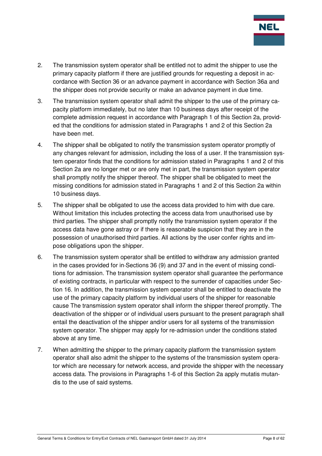

- 2. The transmission system operator shall be entitled not to admit the shipper to use the primary capacity platform if there are justified grounds for requesting a deposit in accordance with Section 36 or an advance payment in accordance with Section 36a and the shipper does not provide security or make an advance payment in due time.
- 3. The transmission system operator shall admit the shipper to the use of the primary capacity platform immediately, but no later than 10 business days after receipt of the complete admission request in accordance with Paragraph 1 of this Section 2a, provided that the conditions for admission stated in Paragraphs 1 and 2 of this Section 2a have been met.
- 4. The shipper shall be obligated to notify the transmission system operator promptly of any changes relevant for admission, including the loss of a user. If the transmission system operator finds that the conditions for admission stated in Paragraphs 1 and 2 of this Section 2a are no longer met or are only met in part, the transmission system operator shall promptly notify the shipper thereof. The shipper shall be obligated to meet the missing conditions for admission stated in Paragraphs 1 and 2 of this Section 2a within 10 business days.
- 5. The shipper shall be obligated to use the access data provided to him with due care. Without limitation this includes protecting the access data from unauthorised use by third parties. The shipper shall promptly notify the transmission system operator if the access data have gone astray or if there is reasonable suspicion that they are in the possession of unauthorised third parties. All actions by the user confer rights and impose obligations upon the shipper.
- 6. The transmission system operator shall be entitled to withdraw any admission granted in the cases provided for in Sections 36 (9) and 37 and in the event of missing conditions for admission. The transmission system operator shall guarantee the performance of existing contracts, in particular with respect to the surrender of capacities under Section 16. In addition, the transmission system operator shall be entitled to deactivate the use of the primary capacity platform by individual users of the shipper for reasonable cause The transmission system operator shall inform the shipper thereof promptly. The deactivation of the shipper or of individual users pursuant to the present paragraph shall entail the deactivation of the shipper and/or users for all systems of the transmission system operator. The shipper may apply for re-admission under the conditions stated above at any time.
- 7. When admitting the shipper to the primary capacity platform the transmission system operator shall also admit the shipper to the systems of the transmission system operator which are necessary for network access, and provide the shipper with the necessary access data. The provisions in Paragraphs 1-6 of this Section 2a apply mutatis mutandis to the use of said systems.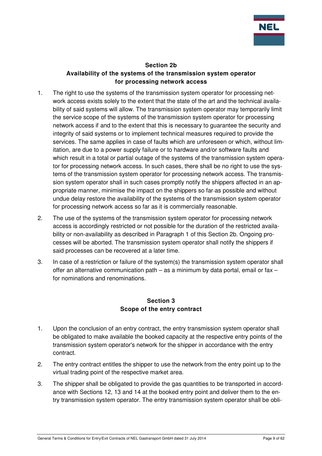

#### **Section 2b Availability of the systems of the transmission system operator for processing network access**

- 1. The right to use the systems of the transmission system operator for processing network access exists solely to the extent that the state of the art and the technical availability of said systems will allow. The transmission system operator may temporarily limit the service scope of the systems of the transmission system operator for processing network access if and to the extent that this is necessary to guarantee the security and integrity of said systems or to implement technical measures required to provide the services. The same applies in case of faults which are unforeseen or which, without limitation, are due to a power supply failure or to hardware and/or software faults and which result in a total or partial outage of the systems of the transmission system operator for processing network access. In such cases, there shall be no right to use the systems of the transmission system operator for processing network access. The transmission system operator shall in such cases promptly notify the shippers affected in an appropriate manner, minimise the impact on the shippers so far as possible and without undue delay restore the availability of the systems of the transmission system operator for processing network access so far as it is commercially reasonable.
- 2. The use of the systems of the transmission system operator for processing network access is accordingly restricted or not possible for the duration of the restricted availability or non-availability as described in Paragraph 1 of this Section 2b. Ongoing processes will be aborted. The transmission system operator shall notify the shippers if said processes can be recovered at a later time.
- 3. In case of a restriction or failure of the system(s) the transmission system operator shall offer an alternative communication path – as a minimum by data portal, email or fax – for nominations and renominations.

## **Section 3 Scope of the entry contract**

- 1. Upon the conclusion of an entry contract, the entry transmission system operator shall be obligated to make available the booked capacity at the respective entry points of the transmission system operator's network for the shipper in accordance with the entry contract.
- 2. The entry contract entitles the shipper to use the network from the entry point up to the virtual trading point of the respective market area.
- 3. The shipper shall be obligated to provide the gas quantities to be transported in accordance with Sections 12, 13 and 14 at the booked entry point and deliver them to the entry transmission system operator. The entry transmission system operator shall be obli-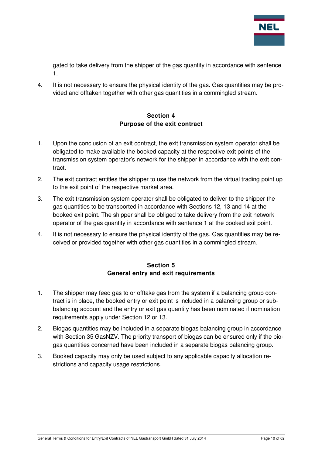

gated to take delivery from the shipper of the gas quantity in accordance with sentence 1.

4. It is not necessary to ensure the physical identity of the gas. Gas quantities may be provided and offtaken together with other gas quantities in a commingled stream.

## **Section 4 Purpose of the exit contract**

- 1. Upon the conclusion of an exit contract, the exit transmission system operator shall be obligated to make available the booked capacity at the respective exit points of the transmission system operator's network for the shipper in accordance with the exit contract.
- 2. The exit contract entitles the shipper to use the network from the virtual trading point up to the exit point of the respective market area.
- 3. The exit transmission system operator shall be obligated to deliver to the shipper the gas quantities to be transported in accordance with Sections 12, 13 and 14 at the booked exit point. The shipper shall be obliged to take delivery from the exit network operator of the gas quantity in accordance with sentence 1 at the booked exit point.
- 4. It is not necessary to ensure the physical identity of the gas. Gas quantities may be received or provided together with other gas quantities in a commingled stream.

## **Section 5 General entry and exit requirements**

- 1. The shipper may feed gas to or offtake gas from the system if a balancing group contract is in place, the booked entry or exit point is included in a balancing group or subbalancing account and the entry or exit gas quantity has been nominated if nomination requirements apply under Section 12 or 13.
- 2. Biogas quantities may be included in a separate biogas balancing group in accordance with Section 35 GasNZV. The priority transport of biogas can be ensured only if the biogas quantities concerned have been included in a separate biogas balancing group.
- 3. Booked capacity may only be used subject to any applicable capacity allocation restrictions and capacity usage restrictions.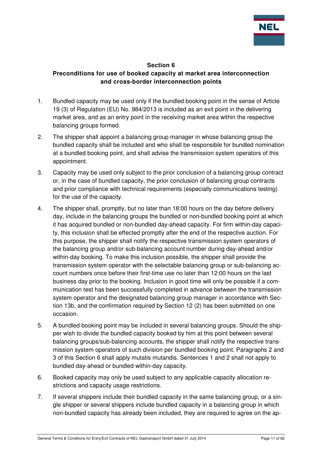

#### **Section 6**

## **Preconditions for use of booked capacity at market area interconnection and cross-border interconnection points**

- 1. Bundled capacity may be used only if the bundled booking point in the sense of Article 19 (3) of Regulation (EU) No. 984/2013 is included as an exit point in the delivering market area, and as an entry point in the receiving market area within the respective balancing groups formed.
- 2. The shipper shall appoint a balancing group manager in whose balancing group the bundled capacity shall be included and who shall be responsible for bundled nomination at a bundled booking point, and shall advise the transmission system operators of this appointment.
- 3. Capacity may be used only subject to the prior conclusion of a balancing group contract or, in the case of bundled capacity, the prior conclusion of balancing group contracts and prior compliance with technical requirements (especially communications testing) for the use of the capacity.
- 4. The shipper shall, promptly, but no later than 18:00 hours on the day before delivery day, include in the balancing groups the bundled or non-bundled booking point at which it has acquired bundled or non-bundled day-ahead capacity. For firm within-day capacity, this inclusion shall be effected promptly after the end of the respective auction. For this purpose, the shipper shall notify the respective transmission system operators of the balancing group and/or sub-balancing account number during day-ahead and/or within-day booking. To make this inclusion possible, the shipper shall provide the transmission system operator with the selectable balancing group or sub-balancing account numbers once before their first-time use no later than 12:00 hours on the last business day prior to the booking. Inclusion in good time will only be possible if a communication test has been successfully completed in advance between the transmission system operator and the designated balancing group manager in accordance with Section 13b, and the confirmation required by Section 12 (2) has been submitted on one occasion.
- 5. A bundled booking point may be included in several balancing groups. Should the shipper wish to divide the bundled capacity booked by him at this point between several balancing groups/sub-balancing accounts, the shipper shall notify the respective transmission system operators of such division per bundled booking point. Paragraphs 2 and 3 of this Section 6 shall apply mutatis mutandis. Sentences 1 and 2 shall not apply to bundled day-ahead or bundled within-day capacity.
- 6. Booked capacity may only be used subject to any applicable capacity allocation restrictions and capacity usage restrictions.
- 7. If several shippers include their bundled capacity in the same balancing group, or a single shipper or several shippers include bundled capacity in a balancing group in which non-bundled capacity has already been included, they are required to agree on the ap-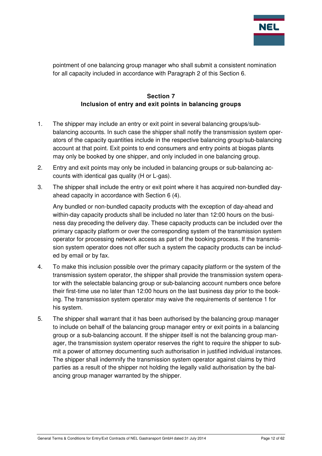

pointment of one balancing group manager who shall submit a consistent nomination for all capacity included in accordance with Paragraph 2 of this Section 6.

## **Section 7 Inclusion of entry and exit points in balancing groups**

- 1. The shipper may include an entry or exit point in several balancing groups/subbalancing accounts. In such case the shipper shall notify the transmission system operators of the capacity quantities include in the respective balancing group/sub-balancing account at that point. Exit points to end consumers and entry points at biogas plants may only be booked by one shipper, and only included in one balancing group.
- 2. Entry and exit points may only be included in balancing groups or sub-balancing accounts with identical gas quality (H or L-gas).
- 3. The shipper shall include the entry or exit point where it has acquired non-bundled dayahead capacity in accordance with Section 6 (4).

Any bundled or non-bundled capacity products with the exception of day-ahead and within-day capacity products shall be included no later than 12:00 hours on the business day preceding the delivery day. These capacity products can be included over the primary capacity platform or over the corresponding system of the transmission system operator for processing network access as part of the booking process. If the transmission system operator does not offer such a system the capacity products can be included by email or by fax.

- 4. To make this inclusion possible over the primary capacity platform or the system of the transmission system operator, the shipper shall provide the transmission system operator with the selectable balancing group or sub-balancing account numbers once before their first-time use no later than 12:00 hours on the last business day prior to the booking. The transmission system operator may waive the requirements of sentence 1 for his system.
- 5. The shipper shall warrant that it has been authorised by the balancing group manager to include on behalf of the balancing group manager entry or exit points in a balancing group or a sub-balancing account. If the shipper itself is not the balancing group manager, the transmission system operator reserves the right to require the shipper to submit a power of attorney documenting such authorisation in justified individual instances. The shipper shall indemnify the transmission system operator against claims by third parties as a result of the shipper not holding the legally valid authorisation by the balancing group manager warranted by the shipper.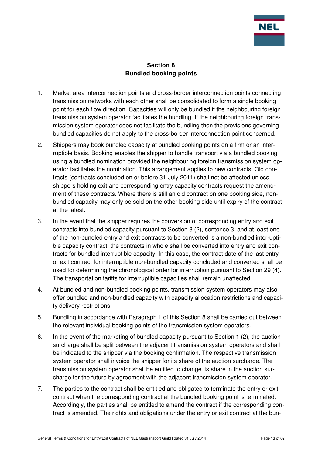

## **Section 8 Bundled booking points**

- 1. Market area interconnection points and cross-border interconnection points connecting transmission networks with each other shall be consolidated to form a single booking point for each flow direction. Capacities will only be bundled if the neighbouring foreign transmission system operator facilitates the bundling. If the neighbouring foreign transmission system operator does not facilitate the bundling then the provisions governing bundled capacities do not apply to the cross-border interconnection point concerned.
- 2. Shippers may book bundled capacity at bundled booking points on a firm or an interruptible basis. Booking enables the shipper to handle transport via a bundled booking using a bundled nomination provided the neighbouring foreign transmission system operator facilitates the nomination. This arrangement applies to new contracts. Old contracts (contracts concluded on or before 31 July 2011) shall not be affected unless shippers holding exit and corresponding entry capacity contracts request the amendment of these contracts. Where there is still an old contract on one booking side, nonbundled capacity may only be sold on the other booking side until expiry of the contract at the latest.
- 3. In the event that the shipper requires the conversion of corresponding entry and exit contracts into bundled capacity pursuant to Section 8 (2), sentence 3, and at least one of the non-bundled entry and exit contracts to be converted is a non-bundled interruptible capacity contract, the contracts in whole shall be converted into entry and exit contracts for bundled interruptible capacity. In this case, the contract date of the last entry or exit contract for interruptible non-bundled capacity concluded and converted shall be used for determining the chronological order for interruption pursuant to Section 29 (4). The transportation tariffs for interruptible capacities shall remain unaffected.
- 4. At bundled and non-bundled booking points, transmission system operators may also offer bundled and non-bundled capacity with capacity allocation restrictions and capacity delivery restrictions.
- 5. Bundling in accordance with Paragraph 1 of this Section 8 shall be carried out between the relevant individual booking points of the transmission system operators.
- 6. In the event of the marketing of bundled capacity pursuant to Section 1 (2), the auction surcharge shall be split between the adjacent transmission system operators and shall be indicated to the shipper via the booking confirmation. The respective transmission system operator shall invoice the shipper for its share of the auction surcharge. The transmission system operator shall be entitled to change its share in the auction surcharge for the future by agreement with the adjacent transmission system operator.
- 7. The parties to the contract shall be entitled and obligated to terminate the entry or exit contract when the corresponding contract at the bundled booking point is terminated. Accordingly, the parties shall be entitled to amend the contract if the corresponding contract is amended. The rights and obligations under the entry or exit contract at the bun-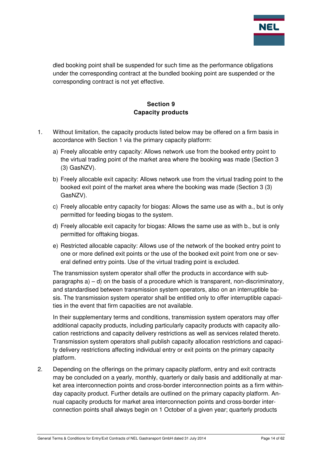

dled booking point shall be suspended for such time as the performance obligations under the corresponding contract at the bundled booking point are suspended or the corresponding contract is not yet effective.

## **Section 9 Capacity products**

- 1. Without limitation, the capacity products listed below may be offered on a firm basis in accordance with Section 1 via the primary capacity platform:
	- a) Freely allocable entry capacity: Allows network use from the booked entry point to the virtual trading point of the market area where the booking was made (Section 3 (3) GasNZV).
	- b) Freely allocable exit capacity: Allows network use from the virtual trading point to the booked exit point of the market area where the booking was made (Section 3 (3) GasNZV).
	- c) Freely allocable entry capacity for biogas: Allows the same use as with a., but is only permitted for feeding biogas to the system.
	- d) Freely allocable exit capacity for biogas: Allows the same use as with b., but is only permitted for offtaking biogas.
	- e) Restricted allocable capacity: Allows use of the network of the booked entry point to one or more defined exit points or the use of the booked exit point from one or several defined entry points. Use of the virtual trading point is excluded.

The transmission system operator shall offer the products in accordance with subparagraphs  $a$ ) – d) on the basis of a procedure which is transparent, non-discriminatory, and standardised between transmission system operators, also on an interruptible basis. The transmission system operator shall be entitled only to offer interruptible capacities in the event that firm capacities are not available.

In their supplementary terms and conditions, transmission system operators may offer additional capacity products, including particularly capacity products with capacity allocation restrictions and capacity delivery restrictions as well as services related thereto. Transmission system operators shall publish capacity allocation restrictions and capacity delivery restrictions affecting individual entry or exit points on the primary capacity platform.

2. Depending on the offerings on the primary capacity platform, entry and exit contracts may be concluded on a yearly, monthly, quarterly or daily basis and additionally at market area interconnection points and cross-border interconnection points as a firm withinday capacity product. Further details are outlined on the primary capacity platform. Annual capacity products for market area interconnection points and cross-border interconnection points shall always begin on 1 October of a given year; quarterly products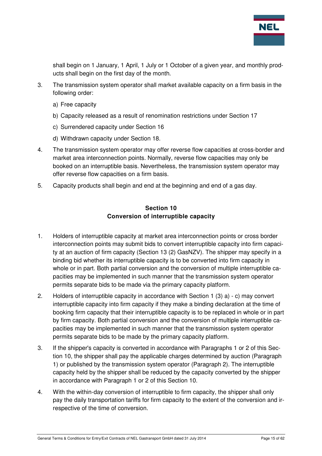

shall begin on 1 January, 1 April, 1 July or 1 October of a given year, and monthly products shall begin on the first day of the month.

- 3. The transmission system operator shall market available capacity on a firm basis in the following order:
	- a) Free capacity
	- b) Capacity released as a result of renomination restrictions under Section 17
	- c) Surrendered capacity under Section 16
	- d) Withdrawn capacity under Section 18.
- 4. The transmission system operator may offer reverse flow capacities at cross-border and market area interconnection points. Normally, reverse flow capacities may only be booked on an interruptible basis. Nevertheless, the transmission system operator may offer reverse flow capacities on a firm basis.
- 5. Capacity products shall begin and end at the beginning and end of a gas day.

#### **Section 10 Conversion of interruptible capacity**

- 1. Holders of interruptible capacity at market area interconnection points or cross border interconnection points may submit bids to convert interruptible capacity into firm capacity at an auction of firm capacity (Section 13 (2) GasNZV). The shipper may specify in a binding bid whether its interruptible capacity is to be converted into firm capacity in whole or in part. Both partial conversion and the conversion of multiple interruptible capacities may be implemented in such manner that the transmission system operator permits separate bids to be made via the primary capacity platform.
- 2. Holders of interruptible capacity in accordance with Section 1 (3) a) c) may convert interruptible capacity into firm capacity if they make a binding declaration at the time of booking firm capacity that their interruptible capacity is to be replaced in whole or in part by firm capacity. Both partial conversion and the conversion of multiple interruptible capacities may be implemented in such manner that the transmission system operator permits separate bids to be made by the primary capacity platform.
- 3. If the shipper's capacity is converted in accordance with Paragraphs 1 or 2 of this Section 10, the shipper shall pay the applicable charges determined by auction (Paragraph 1) or published by the transmission system operator (Paragraph 2). The interruptible capacity held by the shipper shall be reduced by the capacity converted by the shipper in accordance with Paragraph 1 or 2 of this Section 10.
- 4. With the within-day conversion of interruptible to firm capacity, the shipper shall only pay the daily transportation tariffs for firm capacity to the extent of the conversion and irrespective of the time of conversion.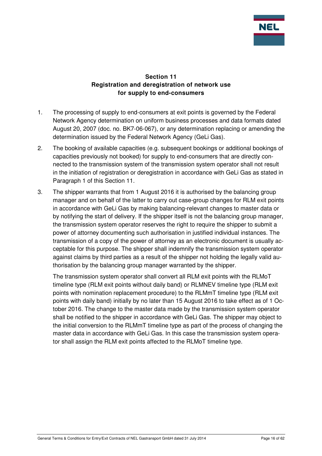

## **Section 11 Registration and deregistration of network use for supply to end-consumers**

- 1. The processing of supply to end-consumers at exit points is governed by the Federal Network Agency determination on uniform business processes and data formats dated August 20, 2007 (doc. no. BK7-06-067), or any determination replacing or amending the determination issued by the Federal Network Agency (GeLi Gas).
- 2. The booking of available capacities (e.g. subsequent bookings or additional bookings of capacities previously not booked) for supply to end-consumers that are directly connected to the transmission system of the transmission system operator shall not result in the initiation of registration or deregistration in accordance with GeLi Gas as stated in Paragraph 1 of this Section 11.
- 3. The shipper warrants that from 1 August 2016 it is authorised by the balancing group manager and on behalf of the latter to carry out case-group changes for RLM exit points in accordance with GeLi Gas by making balancing-relevant changes to master data or by notifying the start of delivery. If the shipper itself is not the balancing group manager, the transmission system operator reserves the right to require the shipper to submit a power of attorney documenting such authorisation in justified individual instances. The transmission of a copy of the power of attorney as an electronic document is usually acceptable for this purpose. The shipper shall indemnify the transmission system operator against claims by third parties as a result of the shipper not holding the legally valid authorisation by the balancing group manager warranted by the shipper.

The transmission system operator shall convert all RLM exit points with the RLMoT timeline type (RLM exit points without daily band) or RLMNEV timeline type (RLM exit points with nomination replacement procedure) to the RLMmT timeline type (RLM exit points with daily band) initially by no later than 15 August 2016 to take effect as of 1 October 2016. The change to the master data made by the transmission system operator shall be notified to the shipper in accordance with GeLi Gas. The shipper may object to the initial conversion to the RLMmT timeline type as part of the process of changing the master data in accordance with GeLi Gas. In this case the transmission system operator shall assign the RLM exit points affected to the RLMoT timeline type.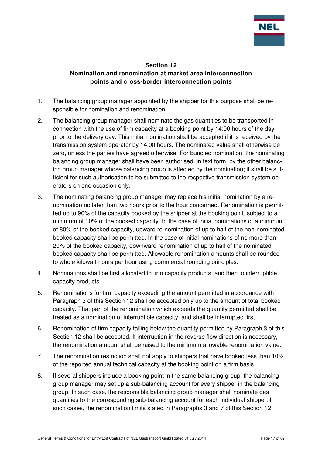

#### **Section 12 Nomination and renomination at market area interconnection points and cross-border interconnection points**

- 1. The balancing group manager appointed by the shipper for this purpose shall be responsible for nomination and renomination.
- 2. The balancing group manager shall nominate the gas quantities to be transported in connection with the use of firm capacity at a booking point by 14:00 hours of the day prior to the delivery day. This initial nomination shall be accepted if it is received by the transmission system operator by 14:00 hours. The nominated value shall otherwise be zero, unless the parties have agreed otherwise. For bundled nomination, the nominating balancing group manager shall have been authorised, in text form, by the other balancing group manager whose balancing group is affected by the nomination; it shall be sufficient for such authorisation to be submitted to the respective transmission system operators on one occasion only.
- 3. The nominating balancing group manager may replace his initial nomination by a renomination no later than two hours prior to the hour concerned. Renomination is permitted up to 90% of the capacity booked by the shipper at the booking point, subject to a minimum of 10% of the booked capacity. In the case of initial nominations of a minimum of 80% of the booked capacity, upward re-nomination of up to half of the non-nominated booked capacity shall be permitted. In the case of initial nominations of no more than 20% of the booked capacity, downward renomination of up to half of the nominated booked capacity shall be permitted. Allowable renomination amounts shall be rounded to whole kilowatt hours per hour using commercial rounding principles.
- 4. Nominations shall be first allocated to firm capacity products, and then to interruptible capacity products.
- 5. Renominations for firm capacity exceeding the amount permitted in accordance with Paragraph 3 of this Section 12 shall be accepted only up to the amount of total booked capacity. That part of the renomination which exceeds the quantity permitted shall be treated as a nomination of interruptible capacity, and shall be interrupted first.
- 6. Renomination of firm capacity falling below the quantity permitted by Paragraph 3 of this Section 12 shall be accepted. If interruption in the reverse flow direction is necessary, the renomination amount shall be raised to the minimum allowable renomination value.
- 7. The renomination restriction shall not apply to shippers that have booked less than 10% of the reported annual technical capacity at the booking point on a firm basis.
- 8. If several shippers include a booking point in the same balancing group, the balancing group manager may set up a sub-balancing account for every shipper in the balancing group. In such case, the responsible balancing group manager shall nominate gas quantities to the corresponding sub-balancing account for each individual shipper. In such cases, the renomination limits stated in Paragraphs 3 and 7 of this Section 12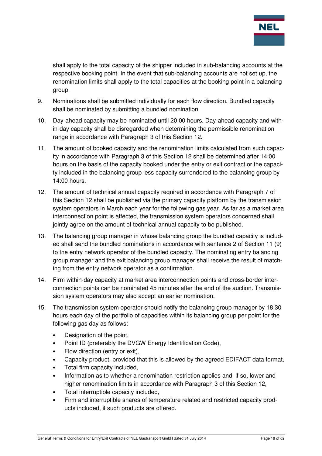

shall apply to the total capacity of the shipper included in sub-balancing accounts at the respective booking point. In the event that sub-balancing accounts are not set up, the renomination limits shall apply to the total capacities at the booking point in a balancing group.

- 9. Nominations shall be submitted individually for each flow direction. Bundled capacity shall be nominated by submitting a bundled nomination.
- 10. Day-ahead capacity may be nominated until 20:00 hours. Day-ahead capacity and within-day capacity shall be disregarded when determining the permissible renomination range in accordance with Paragraph 3 of this Section 12.
- 11. The amount of booked capacity and the renomination limits calculated from such capacity in accordance with Paragraph 3 of this Section 12 shall be determined after 14:00 hours on the basis of the capacity booked under the entry or exit contract or the capacity included in the balancing group less capacity surrendered to the balancing group by 14:00 hours.
- 12. The amount of technical annual capacity required in accordance with Paragraph 7 of this Section 12 shall be published via the primary capacity platform by the transmission system operators in March each year for the following gas year. As far as a market area interconnection point is affected, the transmission system operators concerned shall jointly agree on the amount of technical annual capacity to be published.
- 13. The balancing group manager in whose balancing group the bundled capacity is included shall send the bundled nominations in accordance with sentence 2 of Section 11 (9) to the entry network operator of the bundled capacity. The nominating entry balancing group manager and the exit balancing group manager shall receive the result of matching from the entry network operator as a confirmation.
- 14. Firm within-day capacity at market area interconnection points and cross-border interconnection points can be nominated 45 minutes after the end of the auction. Transmission system operators may also accept an earlier nomination.
- 15. The transmission system operator should notify the balancing group manager by 18:30 hours each day of the portfolio of capacities within its balancing group per point for the following gas day as follows:
	- Designation of the point.
	- Point ID (preferably the DVGW Energy Identification Code),
	- Flow direction (entry or exit),
	- Capacity product, provided that this is allowed by the agreed EDIFACT data format,
	- Total firm capacity included,
	- Information as to whether a renomination restriction applies and, if so, lower and higher renomination limits in accordance with Paragraph 3 of this Section 12,
	- Total interruptible capacity included,
	- Firm and interruptible shares of temperature related and restricted capacity products included, if such products are offered.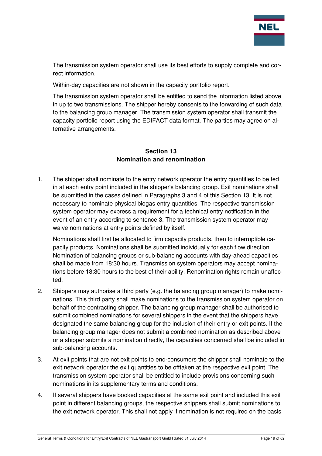

The transmission system operator shall use its best efforts to supply complete and correct information.

Within-day capacities are not shown in the capacity portfolio report.

The transmission system operator shall be entitled to send the information listed above in up to two transmissions. The shipper hereby consents to the forwarding of such data to the balancing group manager. The transmission system operator shall transmit the capacity portfolio report using the EDIFACT data format. The parties may agree on alternative arrangements.

## **Section 13 Nomination and renomination**

1. The shipper shall nominate to the entry network operator the entry quantities to be fed in at each entry point included in the shipper's balancing group. Exit nominations shall be submitted in the cases defined in Paragraphs 3 and 4 of this Section 13. It is not necessary to nominate physical biogas entry quantities. The respective transmission system operator may express a requirement for a technical entry notification in the event of an entry according to sentence 3. The transmission system operator may waive nominations at entry points defined by itself.

Nominations shall first be allocated to firm capacity products, then to interruptible capacity products. Nominations shall be submitted individually for each flow direction. Nomination of balancing groups or sub-balancing accounts with day-ahead capacities shall be made from 18:30 hours. Transmission system operators may accept nominations before 18:30 hours to the best of their ability. Renomination rights remain unaffected.

- 2. Shippers may authorise a third party (e.g. the balancing group manager) to make nominations. This third party shall make nominations to the transmission system operator on behalf of the contracting shipper. The balancing group manager shall be authorised to submit combined nominations for several shippers in the event that the shippers have designated the same balancing group for the inclusion of their entry or exit points. If the balancing group manager does not submit a combined nomination as described above or a shipper submits a nomination directly, the capacities concerned shall be included in sub-balancing accounts.
- 3. At exit points that are not exit points to end-consumers the shipper shall nominate to the exit network operator the exit quantities to be offtaken at the respective exit point. The transmission system operator shall be entitled to include provisions concerning such nominations in its supplementary terms and conditions.
- 4. If several shippers have booked capacities at the same exit point and included this exit point in different balancing groups, the respective shippers shall submit nominations to the exit network operator. This shall not apply if nomination is not required on the basis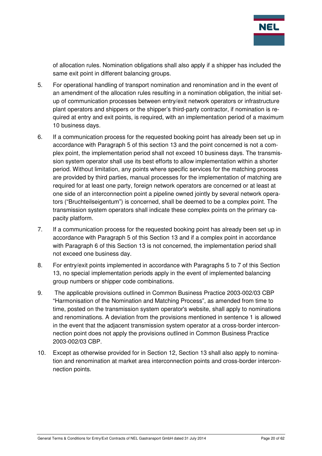

of allocation rules. Nomination obligations shall also apply if a shipper has included the same exit point in different balancing groups.

- 5. For operational handling of transport nomination and renomination and in the event of an amendment of the allocation rules resulting in a nomination obligation, the initial setup of communication processes between entry/exit network operators or infrastructure plant operators and shippers or the shipper's third-party contractor, if nomination is required at entry and exit points, is required, with an implementation period of a maximum 10 business days.
- 6. If a communication process for the requested booking point has already been set up in accordance with Paragraph 5 of this section 13 and the point concerned is not a complex point, the implementation period shall not exceed 10 business days. The transmission system operator shall use its best efforts to allow implementation within a shorter period. Without limitation, any points where specific services for the matching process are provided by third parties, manual processes for the implementation of matching are required for at least one party, foreign network operators are concerned or at least at one side of an interconnection point a pipeline owned jointly by several network operators ("Bruchteilseigentum") is concerned, shall be deemed to be a complex point. The transmission system operators shall indicate these complex points on the primary capacity platform.
- 7. If a communication process for the requested booking point has already been set up in accordance with Paragraph 5 of this Section 13 and if a complex point in accordance with Paragraph 6 of this Section 13 is not concerned, the implementation period shall not exceed one business day.
- 8. For entry/exit points implemented in accordance with Paragraphs 5 to 7 of this Section 13, no special implementation periods apply in the event of implemented balancing group numbers or shipper code combinations.
- 9. The applicable provisions outlined in Common Business Practice 2003-002/03 CBP "Harmonisation of the Nomination and Matching Process", as amended from time to time, posted on the transmission system operator's website, shall apply to nominations and renominations. A deviation from the provisions mentioned in sentence 1 is allowed in the event that the adjacent transmission system operator at a cross-border interconnection point does not apply the provisions outlined in Common Business Practice 2003-002/03 CBP.
- 10. Except as otherwise provided for in Section 12, Section 13 shall also apply to nomination and renomination at market area interconnection points and cross-border interconnection points.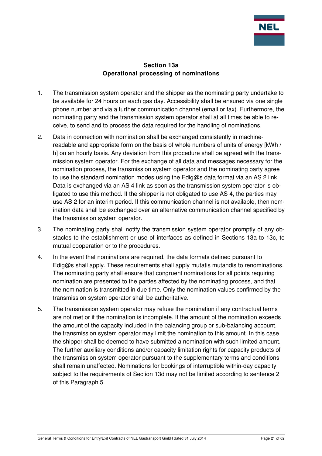

#### **Section 13a Operational processing of nominations**

- 1. The transmission system operator and the shipper as the nominating party undertake to be available for 24 hours on each gas day. Accessibility shall be ensured via one single phone number and via a further communication channel (email or fax). Furthermore, the nominating party and the transmission system operator shall at all times be able to receive, to send and to process the data required for the handling of nominations.
- 2. Data in connection with nomination shall be exchanged consistently in machinereadable and appropriate form on the basis of whole numbers of units of energy [kWh / h] on an hourly basis. Any deviation from this procedure shall be agreed with the transmission system operator. For the exchange of all data and messages necessary for the nomination process, the transmission system operator and the nominating party agree to use the standard nomination modes using the Edig@s data format via an AS 2 link. Data is exchanged via an AS 4 link as soon as the transmission system operator is obligated to use this method. If the shipper is not obligated to use AS 4, the parties may use AS 2 for an interim period. If this communication channel is not available, then nomination data shall be exchanged over an alternative communication channel specified by the transmission system operator.
- 3. The nominating party shall notify the transmission system operator promptly of any obstacles to the establishment or use of interfaces as defined in Sections 13a to 13c, to mutual cooperation or to the procedures.
- 4. In the event that nominations are required, the data formats defined pursuant to  $Ediq@s$  shall apply. These requirements shall apply mutatis mutandis to renominations. The nominating party shall ensure that congruent nominations for all points requiring nomination are presented to the parties affected by the nominating process, and that the nomination is transmitted in due time. Only the nomination values confirmed by the transmission system operator shall be authoritative.
- 5. The transmission system operator may refuse the nomination if any contractual terms are not met or if the nomination is incomplete. If the amount of the nomination exceeds the amount of the capacity included in the balancing group or sub-balancing account, the transmission system operator may limit the nomination to this amount. In this case, the shipper shall be deemed to have submitted a nomination with such limited amount. The further auxiliary conditions and/or capacity limitation rights for capacity products of the transmission system operator pursuant to the supplementary terms and conditions shall remain unaffected. Nominations for bookings of interruptible within-day capacity subject to the requirements of Section 13d may not be limited according to sentence 2 of this Paragraph 5.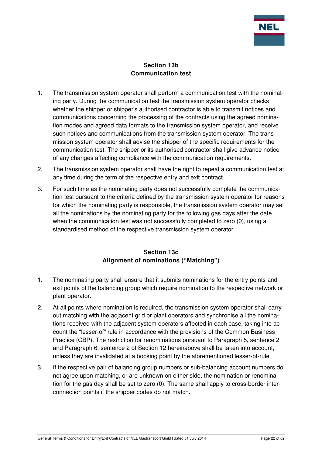

## **Section 13b Communication test**

- 1. The transmission system operator shall perform a communication test with the nominating party. During the communication test the transmission system operator checks whether the shipper or shipper's authorised contractor is able to transmit notices and communications concerning the processing of the contracts using the agreed nomination modes and agreed data formats to the transmission system operator, and receive such notices and communications from the transmission system operator. The transmission system operator shall advise the shipper of the specific requirements for the communication test. The shipper or its authorised contractor shall give advance notice of any changes affecting compliance with the communication requirements.
- 2. The transmission system operator shall have the right to repeat a communication test at any time during the term of the respective entry and exit contract.
- 3. For such time as the nominating party does not successfully complete the communication test pursuant to the criteria defined by the transmission system operator for reasons for which the nominating party is responsible, the transmission system operator may set all the nominations by the nominating party for the following gas days after the date when the communication test was not successfully completed to zero (0), using a standardised method of the respective transmission system operator.

## **Section 13c Alignment of nominations ("Matching")**

- 1. The nominating party shall ensure that it submits nominations for the entry points and exit points of the balancing group which require nomination to the respective network or plant operator.
- 2. At all points where nomination is required, the transmission system operator shall carry out matching with the adjacent grid or plant operators and synchronise all the nominations received with the adjacent system operators affected in each case, taking into account the "lesser-of" rule in accordance with the provisions of the Common Business Practice (CBP). The restriction for renominations pursuant to Paragraph 5, sentence 2 and Paragraph 6, sentence 2 of Section 12 hereinabove shall be taken into account, unless they are invalidated at a booking point by the aforementioned lesser-of-rule.
- 3. If the respective pair of balancing group numbers or sub-balancing account numbers do not agree upon matching, or are unknown on either side, the nomination or renomination for the gas day shall be set to zero (0). The same shall apply to cross-border interconnection points if the shipper codes do not match.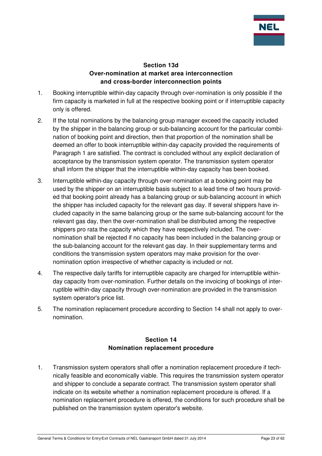

#### **Section 13d Over-nomination at market area interconnection and cross-border interconnection points**

- 1. Booking interruptible within-day capacity through over-nomination is only possible if the firm capacity is marketed in full at the respective booking point or if interruptible capacity only is offered.
- 2. If the total nominations by the balancing group manager exceed the capacity included by the shipper in the balancing group or sub-balancing account for the particular combination of booking point and direction, then that proportion of the nomination shall be deemed an offer to book interruptible within-day capacity provided the requirements of Paragraph 1 are satisfied. The contract is concluded without any explicit declaration of acceptance by the transmission system operator. The transmission system operator shall inform the shipper that the interruptible within-day capacity has been booked.
- 3. Interruptible within-day capacity through over-nomination at a booking point may be used by the shipper on an interruptible basis subject to a lead time of two hours provided that booking point already has a balancing group or sub-balancing account in which the shipper has included capacity for the relevant gas day. If several shippers have included capacity in the same balancing group or the same sub-balancing account for the relevant gas day, then the over-nomination shall be distributed among the respective shippers pro rata the capacity which they have respectively included. The overnomination shall be rejected if no capacity has been included in the balancing group or the sub-balancing account for the relevant gas day. In their supplementary terms and conditions the transmission system operators may make provision for the overnomination option irrespective of whether capacity is included or not.
- 4. The respective daily tariffs for interruptible capacity are charged for interruptible withinday capacity from over-nomination. Further details on the invoicing of bookings of interruptible within-day capacity through over-nomination are provided in the transmission system operator's price list.
- 5. The nomination replacement procedure according to Section 14 shall not apply to overnomination.

#### **Section 14 Nomination replacement procedure**

1. Transmission system operators shall offer a nomination replacement procedure if technically feasible and economically viable. This requires the transmission system operator and shipper to conclude a separate contract. The transmission system operator shall indicate on its website whether a nomination replacement procedure is offered. If a nomination replacement procedure is offered, the conditions for such procedure shall be published on the transmission system operator's website.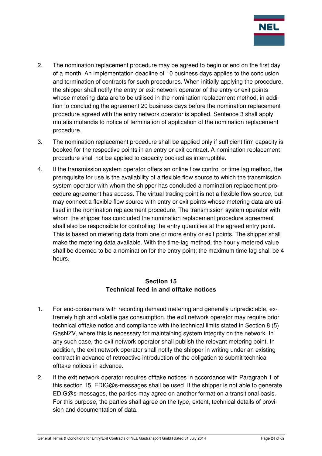

- 2. The nomination replacement procedure may be agreed to begin or end on the first day of a month. An implementation deadline of 10 business days applies to the conclusion and termination of contracts for such procedures. When initially applying the procedure, the shipper shall notify the entry or exit network operator of the entry or exit points whose metering data are to be utilised in the nomination replacement method, in addition to concluding the agreement 20 business days before the nomination replacement procedure agreed with the entry network operator is applied. Sentence 3 shall apply mutatis mutandis to notice of termination of application of the nomination replacement procedure.
- 3. The nomination replacement procedure shall be applied only if sufficient firm capacity is booked for the respective points in an entry or exit contract. A nomination replacement procedure shall not be applied to capacity booked as interruptible.
- 4. If the transmission system operator offers an online flow control or time lag method, the prerequisite for use is the availability of a flexible flow source to which the transmission system operator with whom the shipper has concluded a nomination replacement procedure agreement has access. The virtual trading point is not a flexible flow source, but may connect a flexible flow source with entry or exit points whose metering data are utilised in the nomination replacement procedure. The transmission system operator with whom the shipper has concluded the nomination replacement procedure agreement shall also be responsible for controlling the entry quantities at the agreed entry point. This is based on metering data from one or more entry or exit points. The shipper shall make the metering data available. With the time-lag method, the hourly metered value shall be deemed to be a nomination for the entry point; the maximum time lag shall be 4 hours.

#### **Section 15 Technical feed in and offtake notices**

- 1. For end-consumers with recording demand metering and generally unpredictable, extremely high and volatile gas consumption, the exit network operator may require prior technical offtake notice and compliance with the technical limits stated in Section 8 (5) GasNZV, where this is necessary for maintaining system integrity on the network. In any such case, the exit network operator shall publish the relevant metering point. In addition, the exit network operator shall notify the shipper in writing under an existing contract in advance of retroactive introduction of the obligation to submit technical offtake notices in advance.
- 2. If the exit network operator requires offtake notices in accordance with Paragraph 1 of this section 15, EDIG@s-messages shall be used. If the shipper is not able to generate EDIG@s-messages, the parties may agree on another format on a transitional basis. For this purpose, the parties shall agree on the type, extent, technical details of provision and documentation of data.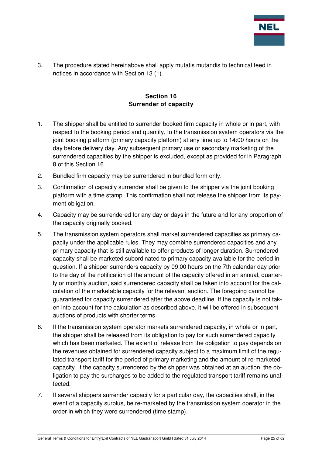

3. The procedure stated hereinabove shall apply mutatis mutandis to technical feed in notices in accordance with Section 13 (1).

## **Section 16 Surrender of capacity**

- 1. The shipper shall be entitled to surrender booked firm capacity in whole or in part, with respect to the booking period and quantity, to the transmission system operators via the joint booking platform (primary capacity platform) at any time up to 14:00 hours on the day before delivery day. Any subsequent primary use or secondary marketing of the surrendered capacities by the shipper is excluded, except as provided for in Paragraph 8 of this Section 16.
- 2. Bundled firm capacity may be surrendered in bundled form only.
- 3. Confirmation of capacity surrender shall be given to the shipper via the joint booking platform with a time stamp. This confirmation shall not release the shipper from its payment obligation.
- 4. Capacity may be surrendered for any day or days in the future and for any proportion of the capacity originally booked.
- 5. The transmission system operators shall market surrendered capacities as primary capacity under the applicable rules. They may combine surrendered capacities and any primary capacity that is still available to offer products of longer duration. Surrendered capacity shall be marketed subordinated to primary capacity available for the period in question. If a shipper surrenders capacity by 09:00 hours on the 7th calendar day prior to the day of the notification of the amount of the capacity offered in an annual, quarterly or monthly auction, said surrendered capacity shall be taken into account for the calculation of the marketable capacity for the relevant auction. The foregoing cannot be guaranteed for capacity surrendered after the above deadline. If the capacity is not taken into account for the calculation as described above, it will be offered in subsequent auctions of products with shorter terms.
- 6. If the transmission system operator markets surrendered capacity, in whole or in part, the shipper shall be released from its obligation to pay for such surrendered capacity which has been marketed. The extent of release from the obligation to pay depends on the revenues obtained for surrendered capacity subject to a maximum limit of the regulated transport tariff for the period of primary marketing and the amount of re-marketed capacity. If the capacity surrendered by the shipper was obtained at an auction, the obligation to pay the surcharges to be added to the regulated transport tariff remains unaffected.
- 7. If several shippers surrender capacity for a particular day, the capacities shall, in the event of a capacity surplus, be re-marketed by the transmission system operator in the order in which they were surrendered (time stamp).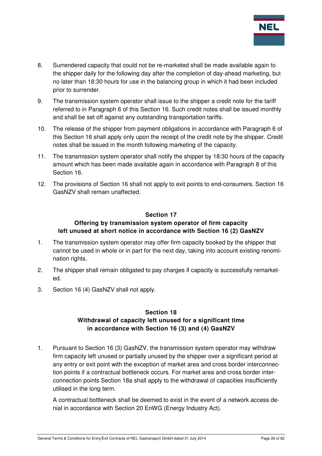

- 8. Surrendered capacity that could not be re-marketed shall be made available again to the shipper daily for the following day after the completion of day-ahead marketing, but no later than 18:30 hours for use in the balancing group in which it had been included prior to surrender.
- 9. The transmission system operator shall issue to the shipper a credit note for the tariff referred to in Paragraph 6 of this Section 16. Such credit notes shall be issued monthly and shall be set off against any outstanding transportation tariffs.
- 10. The release of the shipper from payment obligations in accordance with Paragraph 6 of this Section 16 shall apply only upon the receipt of the credit note by the shipper. Credit notes shall be issued in the month following marketing of the capacity.
- 11. The transmission system operator shall notify the shipper by 18:30 hours of the capacity amount which has been made available again in accordance with Paragraph 8 of this Section 16.
- 12. The provisions of Section 16 shall not apply to exit points to end-consumers. Section 16 GasNZV shall remain unaffected.

#### **Section 17**

## **Offering by transmission system operator of firm capacity left unused at short notice in accordance with Section 16 (2) GasNZV**

- 1. The transmission system operator may offer firm capacity booked by the shipper that cannot be used in whole or in part for the next day, taking into account existing renomination rights.
- 2. The shipper shall remain obligated to pay charges if capacity is successfully remarketed.
- 3. Section 16 (4) GasNZV shall not apply.

## **Section 18 Withdrawal of capacity left unused for a significant time in accordance with Section 16 (3) and (4) GasNZV**

1. Pursuant to Section 16 (3) GasNZV, the transmission system operator may withdraw firm capacity left unused or partially unused by the shipper over a significant period at any entry or exit point with the exception of market area and cross border interconnection points if a contractual bottleneck occurs. For market area and cross border interconnection points Section 18a shall apply to the withdrawal of capacities insufficiently utilised in the long term.

A contractual bottleneck shall be deemed to exist in the event of a network access denial in accordance with Section 20 EnWG (Energy Industry Act).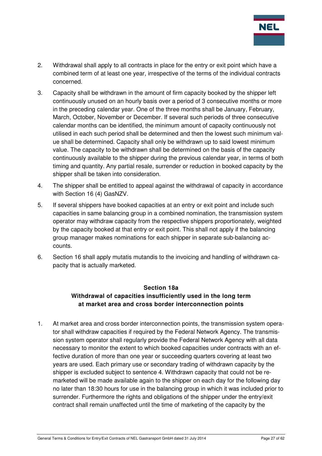

- 2. Withdrawal shall apply to all contracts in place for the entry or exit point which have a combined term of at least one year, irrespective of the terms of the individual contracts concerned.
- 3. Capacity shall be withdrawn in the amount of firm capacity booked by the shipper left continuously unused on an hourly basis over a period of 3 consecutive months or more in the preceding calendar year. One of the three months shall be January, February, March, October, November or December. If several such periods of three consecutive calendar months can be identified, the minimum amount of capacity continuously not utilised in each such period shall be determined and then the lowest such minimum value shall be determined. Capacity shall only be withdrawn up to said lowest minimum value. The capacity to be withdrawn shall be determined on the basis of the capacity continuously available to the shipper during the previous calendar year, in terms of both timing and quantity. Any partial resale, surrender or reduction in booked capacity by the shipper shall be taken into consideration.
- 4. The shipper shall be entitled to appeal against the withdrawal of capacity in accordance with Section 16 (4) GasNZV.
- 5. If several shippers have booked capacities at an entry or exit point and include such capacities in same balancing group in a combined nomination, the transmission system operator may withdraw capacity from the respective shippers proportionately, weighted by the capacity booked at that entry or exit point. This shall not apply if the balancing group manager makes nominations for each shipper in separate sub-balancing accounts.
- 6. Section 16 shall apply mutatis mutandis to the invoicing and handling of withdrawn capacity that is actually marketed.

## **Section 18a Withdrawal of capacities insufficiently used in the long term at market area and cross border interconnection points**

1. At market area and cross border interconnection points, the transmission system operator shall withdraw capacities if required by the Federal Network Agency. The transmission system operator shall regularly provide the Federal Network Agency with all data necessary to monitor the extent to which booked capacities under contracts with an effective duration of more than one year or succeeding quarters covering at least two years are used. Each primary use or secondary trading of withdrawn capacity by the shipper is excluded subject to sentence 4. Withdrawn capacity that could not be remarketed will be made available again to the shipper on each day for the following day no later than 18:30 hours for use in the balancing group in which it was included prior to surrender. Furthermore the rights and obligations of the shipper under the entry/exit contract shall remain unaffected until the time of marketing of the capacity by the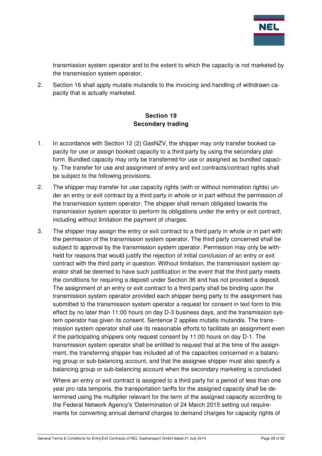

transmission system operator and to the extent to which the capacity is not marketed by the transmission system operator.

2. Section 16 shall apply mutatis mutandis to the invoicing and handling of withdrawn capacity that is actually marketed.

## **Section 19 Secondary trading**

- 1. In accordance with Section 12 (2) GasNZV, the shipper may only transfer booked capacity for use or assign booked capacity to a third party by using the secondary platform. Bundled capacity may only be transferred for use or assigned as bundled capacity. The transfer for use and assignment of entry and exit contracts/contract rights shall be subject to the following provisions.
- 2. The shipper may transfer for use capacity rights (with or without nomination rights) under an entry or exit contract by a third party in whole or in part without the permission of the transmission system operator. The shipper shall remain obligated towards the transmission system operator to perform its obligations under the entry or exit contract, including without limitation the payment of charges.
- 3. The shipper may assign the entry or exit contract to a third party in whole or in part with the permission of the transmission system operator. The third party concerned shall be subject to approval by the transmission system operator. Permission may only be withheld for reasons that would justify the rejection of initial conclusion of an entry or exit contract with the third party in question. Without limitation, the transmission system operator shall be deemed to have such justification in the event that the third party meets the conditions for requiring a deposit under Section 36 and has not provided a deposit. The assignment of an entry or exit contract to a third party shall be binding upon the transmission system operator provided each shipper being party to the assignment has submitted to the transmission system operator a request for consent in text form to this effect by no later than 11:00 hours on day D-3 business days, and the transmission system operator has given its consent. Sentence 2 applies mutatis mutandis. The transmission system operator shall use its reasonable efforts to facilitate an assignment even if the participating shippers only request consent by 11:00 hours on day D-1. The transmission system operator shall be entitled to request that at the time of the assignment, the transferring shipper has included all of the capacities concerned in a balancing group or sub-balancing account, and that the assignee shipper must also specify a balancing group or sub-balancing account when the secondary marketing is concluded.

Where an entry or exit contract is assigned to a third party for a period of less than one year pro rata temporis, the transportation tariffs for the assigned capacity shall be determined using the multiplier relevant for the term of the assigned capacity according to the Federal Network Agency's 'Determination of 24 March 2015 setting out requirements for converting annual demand charges to demand charges for capacity rights of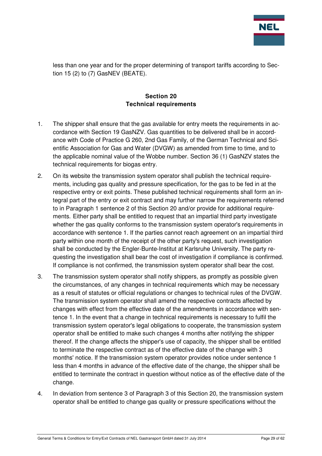

less than one year and for the proper determining of transport tariffs according to Section 15 (2) to (7) GasNEV (BEATE).

## **Section 20 Technical requirements**

- 1. The shipper shall ensure that the gas available for entry meets the requirements in accordance with Section 19 GasNZV. Gas quantities to be delivered shall be in accordance with Code of Practice G 260, 2nd Gas Family, of the German Technical and Scientific Association for Gas and Water (DVGW) as amended from time to time, and to the applicable nominal value of the Wobbe number. Section 36 (1) GasNZV states the technical requirements for biogas entry.
- 2. On its website the transmission system operator shall publish the technical requirements, including gas quality and pressure specification, for the gas to be fed in at the respective entry or exit points. These published technical requirements shall form an integral part of the entry or exit contract and may further narrow the requirements referred to in Paragraph 1 sentence 2 of this Section 20 and/or provide for additional requirements. Either party shall be entitled to request that an impartial third party investigate whether the gas quality conforms to the transmission system operator's requirements in accordance with sentence 1. If the parties cannot reach agreement on an impartial third party within one month of the receipt of the other party's request, such investigation shall be conducted by the Engler-Bunte-Institut at Karlsruhe University. The party requesting the investigation shall bear the cost of investigation if compliance is confirmed. If compliance is not confirmed, the transmission system operator shall bear the cost.
- 3. The transmission system operator shall notify shippers, as promptly as possible given the circumstances, of any changes in technical requirements which may be necessary as a result of statutes or official regulations or changes to technical rules of the DVGW. The transmission system operator shall amend the respective contracts affected by changes with effect from the effective date of the amendments in accordance with sentence 1. In the event that a change in technical requirements is necessary to fulfil the transmission system operator's legal obligations to cooperate, the transmission system operator shall be entitled to make such changes 4 months after notifying the shipper thereof. If the change affects the shipper's use of capacity, the shipper shall be entitled to terminate the respective contract as of the effective date of the change with 3 months' notice. If the transmission system operator provides notice under sentence 1 less than 4 months in advance of the effective date of the change, the shipper shall be entitled to terminate the contract in question without notice as of the effective date of the change.
- 4. In deviation from sentence 3 of Paragraph 3 of this Section 20, the transmission system operator shall be entitled to change gas quality or pressure specifications without the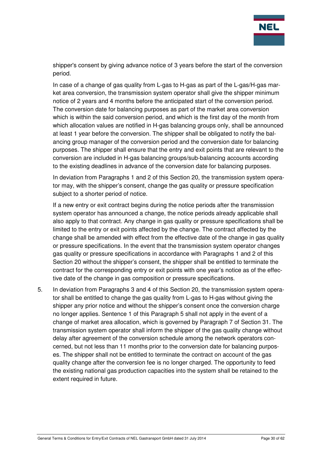

shipper's consent by giving advance notice of 3 years before the start of the conversion period.

In case of a change of gas quality from L-gas to H-gas as part of the L-gas/H-gas market area conversion, the transmission system operator shall give the shipper minimum notice of 2 years and 4 months before the anticipated start of the conversion period. The conversion date for balancing purposes as part of the market area conversion which is within the said conversion period, and which is the first day of the month from which allocation values are notified in H-gas balancing groups only, shall be announced at least 1 year before the conversion. The shipper shall be obligated to notify the balancing group manager of the conversion period and the conversion date for balancing purposes. The shipper shall ensure that the entry and exit points that are relevant to the conversion are included in H-gas balancing groups/sub-balancing accounts according to the existing deadlines in advance of the conversion date for balancing purposes.

In deviation from Paragraphs 1 and 2 of this Section 20, the transmission system operator may, with the shipper's consent, change the gas quality or pressure specification subject to a shorter period of notice.

If a new entry or exit contract begins during the notice periods after the transmission system operator has announced a change, the notice periods already applicable shall also apply to that contract. Any change in gas quality or pressure specifications shall be limited to the entry or exit points affected by the change. The contract affected by the change shall be amended with effect from the effective date of the change in gas quality or pressure specifications. In the event that the transmission system operator changes gas quality or pressure specifications in accordance with Paragraphs 1 and 2 of this Section 20 without the shipper's consent, the shipper shall be entitled to terminate the contract for the corresponding entry or exit points with one year's notice as of the effective date of the change in gas composition or pressure specifications.

5. In deviation from Paragraphs 3 and 4 of this Section 20, the transmission system operator shall be entitled to change the gas quality from L-gas to H-gas without giving the shipper any prior notice and without the shipper's consent once the conversion charge no longer applies. Sentence 1 of this Paragraph 5 shall not apply in the event of a change of market area allocation, which is governed by Paragraph 7 of Section 31. The transmission system operator shall inform the shipper of the gas quality change without delay after agreement of the conversion schedule among the network operators concerned, but not less than 11 months prior to the conversion date for balancing purposes. The shipper shall not be entitled to terminate the contract on account of the gas quality change after the conversion fee is no longer charged. The opportunity to feed the existing national gas production capacities into the system shall be retained to the extent required in future.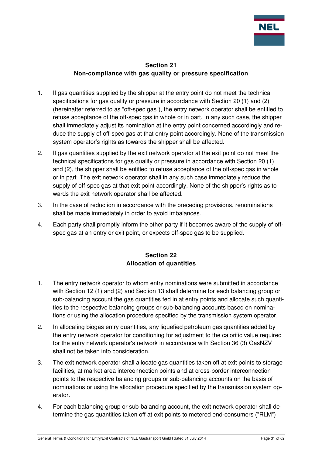

## **Section 21 Non-compliance with gas quality or pressure specification**

- 1. If gas quantities supplied by the shipper at the entry point do not meet the technical specifications for gas quality or pressure in accordance with Section 20 (1) and (2) (hereinafter referred to as "off-spec gas"), the entry network operator shall be entitled to refuse acceptance of the off-spec gas in whole or in part. In any such case, the shipper shall immediately adjust its nomination at the entry point concerned accordingly and reduce the supply of off-spec gas at that entry point accordingly. None of the transmission system operator's rights as towards the shipper shall be affected.
- 2. If gas quantities supplied by the exit network operator at the exit point do not meet the technical specifications for gas quality or pressure in accordance with Section 20 (1) and (2), the shipper shall be entitled to refuse acceptance of the off-spec gas in whole or in part. The exit network operator shall in any such case immediately reduce the supply of off-spec gas at that exit point accordingly. None of the shipper's rights as towards the exit network operator shall be affected.
- 3. In the case of reduction in accordance with the preceding provisions, renominations shall be made immediately in order to avoid imbalances.
- 4. Each party shall promptly inform the other party if it becomes aware of the supply of offspec gas at an entry or exit point, or expects off-spec gas to be supplied.

## **Section 22 Allocation of quantities**

- 1. The entry network operator to whom entry nominations were submitted in accordance with Section 12 (1) and (2) and Section 13 shall determine for each balancing group or sub-balancing account the gas quantities fed in at entry points and allocate such quantities to the respective balancing groups or sub-balancing accounts based on nominations or using the allocation procedure specified by the transmission system operator.
- 2. In allocating biogas entry quantities, any liquefied petroleum gas quantities added by the entry network operator for conditioning for adjustment to the calorific value required for the entry network operator's network in accordance with Section 36 (3) GasNZV shall not be taken into consideration.
- 3. The exit network operator shall allocate gas quantities taken off at exit points to storage facilities, at market area interconnection points and at cross-border interconnection points to the respective balancing groups or sub-balancing accounts on the basis of nominations or using the allocation procedure specified by the transmission system operator.
- 4. For each balancing group or sub-balancing account, the exit network operator shall determine the gas quantities taken off at exit points to metered end-consumers ("RLM")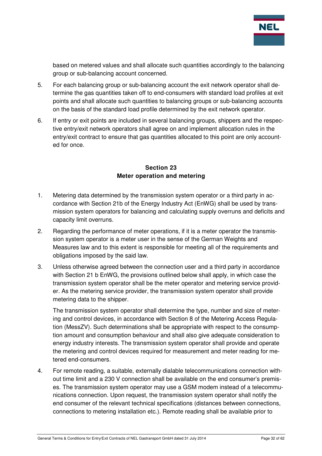

based on metered values and shall allocate such quantities accordingly to the balancing group or sub-balancing account concerned.

- 5. For each balancing group or sub-balancing account the exit network operator shall determine the gas quantities taken off to end-consumers with standard load profiles at exit points and shall allocate such quantities to balancing groups or sub-balancing accounts on the basis of the standard load profile determined by the exit network operator.
- 6. If entry or exit points are included in several balancing groups, shippers and the respective entry/exit network operators shall agree on and implement allocation rules in the entry/exit contract to ensure that gas quantities allocated to this point are only accounted for once.

#### **Section 23 Meter operation and metering**

- 1. Metering data determined by the transmission system operator or a third party in accordance with Section 21b of the Energy Industry Act (EnWG) shall be used by transmission system operators for balancing and calculating supply overruns and deficits and capacity limit overruns.
- 2. Regarding the performance of meter operations, if it is a meter operator the transmission system operator is a meter user in the sense of the German Weights and Measures law and to this extent is responsible for meeting all of the requirements and obligations imposed by the said law.
- 3. Unless otherwise agreed between the connection user and a third party in accordance with Section 21 b EnWG, the provisions outlined below shall apply, in which case the transmission system operator shall be the meter operator and metering service provider. As the metering service provider, the transmission system operator shall provide metering data to the shipper.

The transmission system operator shall determine the type, number and size of metering and control devices, in accordance with Section 8 of the Metering Access Regulation (MessZV). Such determinations shall be appropriate with respect to the consumption amount and consumption behaviour and shall also give adequate consideration to energy industry interests. The transmission system operator shall provide and operate the metering and control devices required for measurement and meter reading for metered end-consumers.

4. For remote reading, a suitable, externally dialable telecommunications connection without time limit and a 230 V connection shall be available on the end consumer's premises. The transmission system operator may use a GSM modem instead of a telecommunications connection. Upon request, the transmission system operator shall notify the end consumer of the relevant technical specifications (distances between connections, connections to metering installation etc.). Remote reading shall be available prior to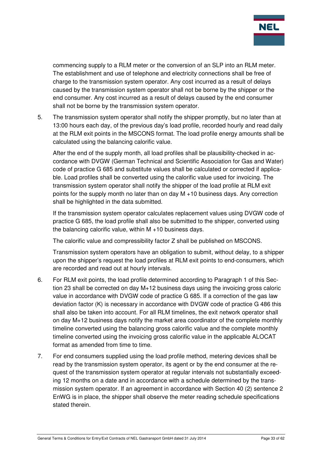

commencing supply to a RLM meter or the conversion of an SLP into an RLM meter. The establishment and use of telephone and electricity connections shall be free of charge to the transmission system operator. Any cost incurred as a result of delays caused by the transmission system operator shall not be borne by the shipper or the end consumer. Any cost incurred as a result of delays caused by the end consumer shall not be borne by the transmission system operator.

5. The transmission system operator shall notify the shipper promptly, but no later than at 13:00 hours each day, of the previous day's load profile, recorded hourly and read daily at the RLM exit points in the MSCONS format. The load profile energy amounts shall be calculated using the balancing calorific value.

After the end of the supply month, all load profiles shall be plausibility-checked in accordance with DVGW (German Technical and Scientific Association for Gas and Water) code of practice G 685 and substitute values shall be calculated or corrected if applicable. Load profiles shall be converted using the calorific value used for invoicing. The transmission system operator shall notify the shipper of the load profile at RLM exit points for the supply month no later than on day M +10 business days. Any correction shall be highlighted in the data submitted.

If the transmission system operator calculates replacement values using DVGW code of practice G 685, the load profile shall also be submitted to the shipper, converted using the balancing calorific value, within M +10 business days.

The calorific value and compressibility factor Z shall be published on MSCONS.

Transmission system operators have an obligation to submit, without delay, to a shipper upon the shipper's request the load profiles at RLM exit points to end-consumers, which are recorded and read out at hourly intervals.

- 6. For RLM exit points, the load profile determined according to Paragraph 1 of this Section 23 shall be corrected on day M+12 business days using the invoicing gross caloric value in accordance with DVGW code of practice G 685. If a correction of the gas law deviation factor (K) is necessary in accordance with DVGW code of practice G 486 this shall also be taken into account. For all RLM timelines, the exit network operator shall on day M+12 business days notify the market area coordinator of the complete monthly timeline converted using the balancing gross calorific value and the complete monthly timeline converted using the invoicing gross calorific value in the applicable ALOCAT format as amended from time to time.
- 7. For end consumers supplied using the load profile method, metering devices shall be read by the transmission system operator, its agent or by the end consumer at the request of the transmission system operator at regular intervals not substantially exceeding 12 months on a date and in accordance with a schedule determined by the transmission system operator. If an agreement in accordance with Section 40 (2) sentence 2 EnWG is in place, the shipper shall observe the meter reading schedule specifications stated therein.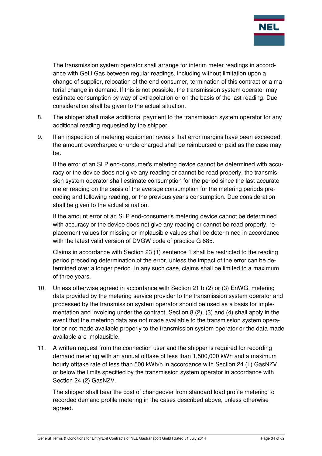

The transmission system operator shall arrange for interim meter readings in accordance with GeLi Gas between regular readings, including without limitation upon a change of supplier, relocation of the end-consumer, termination of this contract or a material change in demand. If this is not possible, the transmission system operator may estimate consumption by way of extrapolation or on the basis of the last reading. Due consideration shall be given to the actual situation.

- 8. The shipper shall make additional payment to the transmission system operator for any additional reading requested by the shipper.
- 9. If an inspection of metering equipment reveals that error margins have been exceeded, the amount overcharged or undercharged shall be reimbursed or paid as the case may be.

If the error of an SLP end-consumer's metering device cannot be determined with accuracy or the device does not give any reading or cannot be read properly, the transmission system operator shall estimate consumption for the period since the last accurate meter reading on the basis of the average consumption for the metering periods preceding and following reading, or the previous year's consumption. Due consideration shall be given to the actual situation.

If the amount error of an SLP end-consumer's metering device cannot be determined with accuracy or the device does not give any reading or cannot be read properly, replacement values for missing or implausible values shall be determined in accordance with the latest valid version of DVGW code of practice G 685.

Claims in accordance with Section 23 (1) sentence 1 shall be restricted to the reading period preceding determination of the error, unless the impact of the error can be determined over a longer period. In any such case, claims shall be limited to a maximum of three years.

- 10. Unless otherwise agreed in accordance with Section 21 b (2) or (3) EnWG, metering data provided by the metering service provider to the transmission system operator and processed by the transmission system operator should be used as a basis for implementation and invoicing under the contract. Section 8 (2), (3) and (4) shall apply in the event that the metering data are not made available to the transmission system operator or not made available properly to the transmission system operator or the data made available are implausible.
- 11. A written request from the connection user and the shipper is required for recording demand metering with an annual offtake of less than 1,500,000 kWh and a maximum hourly offtake rate of less than 500 kWh/h in accordance with Section 24 (1) GasNZV, or below the limits specified by the transmission system operator in accordance with Section 24 (2) GasNZV.

The shipper shall bear the cost of changeover from standard load profile metering to recorded demand profile metering in the cases described above, unless otherwise agreed.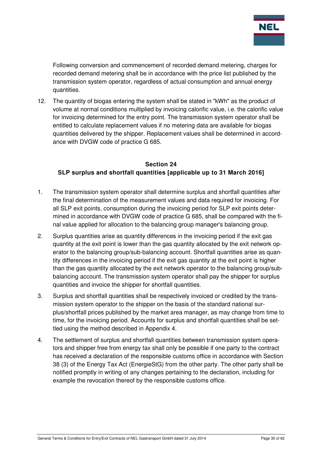

Following conversion and commencement of recorded demand metering, charges for recorded demand metering shall be in accordance with the price list published by the transmission system operator, regardless of actual consumption and annual energy quantities.

12. The quantity of biogas entering the system shall be stated in "kWh" as the product of volume at normal conditions multiplied by invoicing calorific value, i.e. the calorific value for invoicing determined for the entry point. The transmission system operator shall be entitled to calculate replacement values if no metering data are available for biogas quantities delivered by the shipper. Replacement values shall be determined in accordance with DVGW code of practice G 685.

## **Section 24 SLP surplus and shortfall quantities [applicable up to 31 March 2016]**

- 1. The transmission system operator shall determine surplus and shortfall quantities after the final determination of the measurement values and data required for invoicing. For all SLP exit points, consumption during the invoicing period for SLP exit points determined in accordance with DVGW code of practice G 685, shall be compared with the final value applied for allocation to the balancing group manager's balancing group.
- 2. Surplus quantities arise as quantity differences in the invoicing period if the exit gas quantity at the exit point is lower than the gas quantity allocated by the exit network operator to the balancing group/sub-balancing account. Shortfall quantities arise as quantity differences in the invoicing period if the exit gas quantity at the exit point is higher than the gas quantity allocated by the exit network operator to the balancing group/subbalancing account. The transmission system operator shall pay the shipper for surplus quantities and invoice the shipper for shortfall quantities.
- 3. Surplus and shortfall quantities shall be respectively invoiced or credited by the transmission system operator to the shipper on the basis of the standard national surplus/shortfall prices published by the market area manager, as may change from time to time, for the invoicing period. Accounts for surplus and shortfall quantities shall be settled using the method described in Appendix 4.
- 4. The settlement of surplus and shortfall quantities between transmission system operators and shipper free from energy tax shall only be possible if one party to the contract has received a declaration of the responsible customs office in accordance with Section 38 (3) of the Energy Tax Act (EnergieStG) from the other party. The other party shall be notified promptly in writing of any changes pertaining to the declaration, including for example the revocation thereof by the responsible customs office.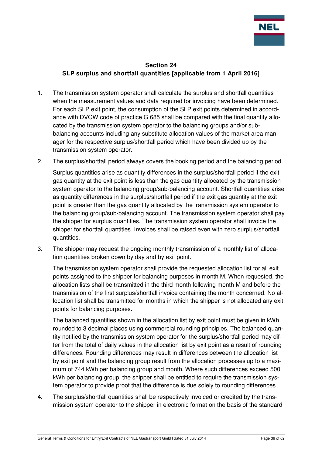

## **Section 24 SLP surplus and shortfall quantities [applicable from 1 April 2016]**

- 1. The transmission system operator shall calculate the surplus and shortfall quantities when the measurement values and data required for invoicing have been determined. For each SLP exit point, the consumption of the SLP exit points determined in accordance with DVGW code of practice G 685 shall be compared with the final quantity allocated by the transmission system operator to the balancing groups and/or subbalancing accounts including any substitute allocation values of the market area manager for the respective surplus/shortfall period which have been divided up by the transmission system operator.
- 2. The surplus/shortfall period always covers the booking period and the balancing period.

Surplus quantities arise as quantity differences in the surplus/shortfall period if the exit gas quantity at the exit point is less than the gas quantity allocated by the transmission system operator to the balancing group/sub-balancing account. Shortfall quantities arise as quantity differences in the surplus/shortfall period if the exit gas quantity at the exit point is greater than the gas quantity allocated by the transmission system operator to the balancing group/sub-balancing account. The transmission system operator shall pay the shipper for surplus quantities. The transmission system operator shall invoice the shipper for shortfall quantities. Invoices shall be raised even with zero surplus/shortfall quantities.

3. The shipper may request the ongoing monthly transmission of a monthly list of allocation quantities broken down by day and by exit point.

The transmission system operator shall provide the requested allocation list for all exit points assigned to the shipper for balancing purposes in month M. When requested, the allocation lists shall be transmitted in the third month following month M and before the transmission of the first surplus/shortfall invoice containing the month concerned. No allocation list shall be transmitted for months in which the shipper is not allocated any exit points for balancing purposes.

The balanced quantities shown in the allocation list by exit point must be given in kWh rounded to 3 decimal places using commercial rounding principles. The balanced quantity notified by the transmission system operator for the surplus/shortfall period may differ from the total of daily values in the allocation list by exit point as a result of rounding differences. Rounding differences may result in differences between the allocation list by exit point and the balancing group result from the allocation processes up to a maximum of 744 kWh per balancing group and month. Where such differences exceed 500 kWh per balancing group, the shipper shall be entitled to require the transmission system operator to provide proof that the difference is due solely to rounding differences.

4. The surplus/shortfall quantities shall be respectively invoiced or credited by the transmission system operator to the shipper in electronic format on the basis of the standard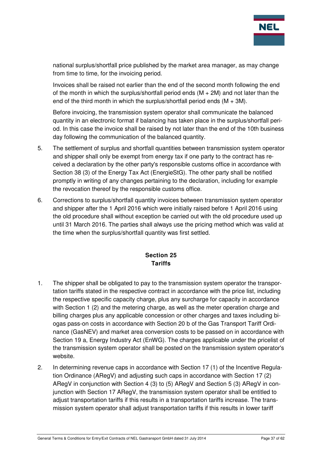

national surplus/shortfall price published by the market area manager, as may change from time to time, for the invoicing period.

Invoices shall be raised not earlier than the end of the second month following the end of the month in which the surplus/shortfall period ends  $(M + 2M)$  and not later than the end of the third month in which the surplus/shortfall period ends  $(M + 3M)$ .

Before invoicing, the transmission system operator shall communicate the balanced quantity in an electronic format if balancing has taken place in the surplus/shortfall period. In this case the invoice shall be raised by not later than the end of the 10th business day following the communication of the balanced quantity.

- 5. The settlement of surplus and shortfall quantities between transmission system operator and shipper shall only be exempt from energy tax if one party to the contract has received a declaration by the other party's responsible customs office in accordance with Section 38 (3) of the Energy Tax Act (EnergieStG). The other party shall be notified promptly in writing of any changes pertaining to the declaration, including for example the revocation thereof by the responsible customs office.
- 6. Corrections to surplus/shortfall quantity invoices between transmission system operator and shipper after the 1 April 2016 which were initially raised before 1 April 2016 using the old procedure shall without exception be carried out with the old procedure used up until 31 March 2016. The parties shall always use the pricing method which was valid at the time when the surplus/shortfall quantity was first settled.

## **Section 25 Tariffs**

- 1. The shipper shall be obligated to pay to the transmission system operator the transportation tariffs stated in the respective contract in accordance with the price list, including the respective specific capacity charge, plus any surcharge for capacity in accordance with Section 1 (2) and the metering charge, as well as the meter operation charge and billing charges plus any applicable concession or other charges and taxes including biogas pass-on costs in accordance with Section 20 b of the Gas Transport Tariff Ordinance (GasNEV) and market area conversion costs to be passed on in accordance with Section 19 a, Energy Industry Act (EnWG). The charges applicable under the pricelist of the transmission system operator shall be posted on the transmission system operator's website.
- 2. In determining revenue caps in accordance with Section 17 (1) of the Incentive Regulation Ordinance (ARegV) and adjusting such caps in accordance with Section 17 (2) ARegV in conjunction with Section 4 (3) to (5) ARegV and Section 5 (3) ARegV in conjunction with Section 17 ARegV, the transmission system operator shall be entitled to adjust transportation tariffs if this results in a transportation tariffs increase. The transmission system operator shall adjust transportation tariffs if this results in lower tariff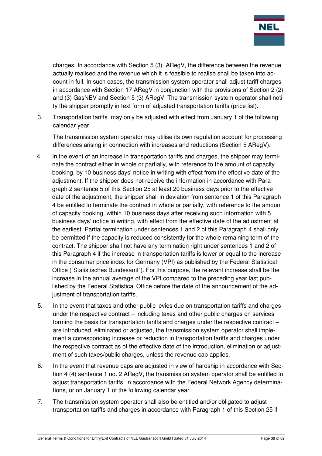

charges. In accordance with Section 5 (3) ARegV, the difference between the revenue actually realised and the revenue which it is feasible to realise shall be taken into account in full. In such cases, the transmission system operator shall adjust tariff charges in accordance with Section 17 ARegV in conjunction with the provisions of Section 2 (2) and (3) GasNEV and Section 5 (3) ARegV. The transmission system operator shall notify the shipper promptly in text form of adjusted transportation tariffs (price list).

3. Transportation tariffs may only be adjusted with effect from January 1 of the following calendar year.

The transmission system operator may utilise its own regulation account for processing differences arising in connection with increases and reductions (Section 5 ARegV).

- 4. In the event of an increase in transportation tariffs and charges, the shipper may terminate the contract either in whole or partially, with reference to the amount of capacity booking, by 10 business days' notice in writing with effect from the effective date of the adjustment. If the shipper does not receive the information in accordance with Paragraph 2 sentence 5 of this Section 25 at least 20 business days prior to the effective date of the adjustment, the shipper shall in deviation from sentence 1 of this Paragraph 4 be entitled to terminate the contract in whole or partially, with reference to the amount of capacity booking, within 10 business days after receiving such information with 5 business days' notice in writing, with effect from the effective date of the adjustment at the earliest. Partial termination under sentences 1 and 2 of this Paragraph 4 shall only be permitted if the capacity is reduced consistently for the whole remaining term of the contract. The shipper shall not have any termination right under sentences 1 and 2 of this Paragraph 4 if the increase in transportation tariffs is lower or equal to the increase in the consumer price index for Germany (VPI) as published by the Federal Statistical Office ("Statistisches Bundesamt"). For this purpose, the relevant increase shall be the increase in the annual average of the VPI compared to the preceding year last published by the Federal Statistical Office before the date of the announcement of the adjustment of transportation tariffs.
- 5. In the event that taxes and other public levies due on transportation tariffs and charges under the respective contract – including taxes and other public charges on services forming the basis for transportation tariffs and charges under the respective contract – are introduced, eliminated or adjusted, the transmission system operator shall implement a corresponding increase or reduction in transportation tariffs and charges under the respective contract as of the effective date of the introduction, elimination or adjustment of such taxes/public charges, unless the revenue cap applies.
- 6. In the event that revenue caps are adjusted in view of hardship in accordance with Section 4 (4) sentence 1 no. 2 ARegV, the transmission system operator shall be entitled to adjust transportation tariffs in accordance with the Federal Network Agency determinations, or on January 1 of the following calendar year.
- 7. The transmission system operator shall also be entitled and/or obligated to adjust transportation tariffs and charges in accordance with Paragraph 1 of this Section 25 if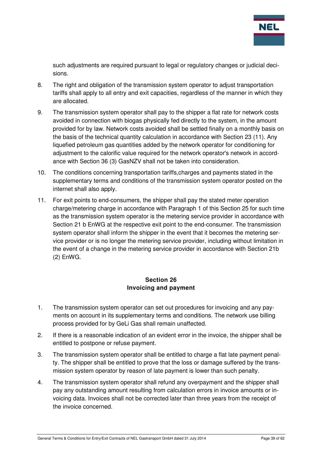

such adjustments are required pursuant to legal or regulatory changes or judicial decisions.

- 8. The right and obligation of the transmission system operator to adjust transportation tariffs shall apply to all entry and exit capacities, regardless of the manner in which they are allocated.
- 9. The transmission system operator shall pay to the shipper a flat rate for network costs avoided in connection with biogas physically fed directly to the system, in the amount provided for by law. Network costs avoided shall be settled finally on a monthly basis on the basis of the technical quantity calculation in accordance with Section 23 (11). Any liquefied petroleum gas quantities added by the network operator for conditioning for adjustment to the calorific value required for the network operator's network in accordance with Section 36 (3) GasNZV shall not be taken into consideration.
- 10. The conditions concerning transportation tariffs,charges and payments stated in the supplementary terms and conditions of the transmission system operator posted on the internet shall also apply.
- 11. For exit points to end-consumers, the shipper shall pay the stated meter operation charge/metering charge in accordance with Paragraph 1 of this Section 25 for such time as the transmission system operator is the metering service provider in accordance with Section 21 b EnWG at the respective exit point to the end-consumer. The transmission system operator shall inform the shipper in the event that it becomes the metering service provider or is no longer the metering service provider, including without limitation in the event of a change in the metering service provider in accordance with Section 21b (2) EnWG.

## **Section 26 Invoicing and payment**

- 1. The transmission system operator can set out procedures for invoicing and any payments on account in its supplementary terms and conditions. The network use billing process provided for by GeLi Gas shall remain unaffected.
- 2. If there is a reasonable indication of an evident error in the invoice, the shipper shall be entitled to postpone or refuse payment.
- 3. The transmission system operator shall be entitled to charge a flat late payment penalty. The shipper shall be entitled to prove that the loss or damage suffered by the transmission system operator by reason of late payment is lower than such penalty.
- 4. The transmission system operator shall refund any overpayment and the shipper shall pay any outstanding amount resulting from calculation errors in invoice amounts or invoicing data. Invoices shall not be corrected later than three years from the receipt of the invoice concerned.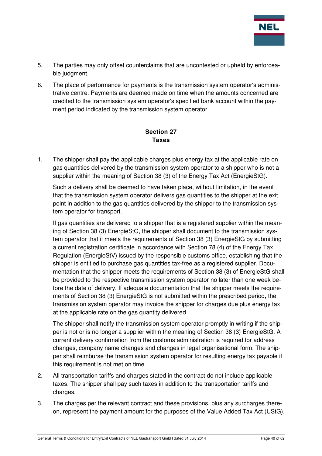

- 5. The parties may only offset counterclaims that are uncontested or upheld by enforceable judgment.
- 6. The place of performance for payments is the transmission system operator's administrative centre. Payments are deemed made on time when the amounts concerned are credited to the transmission system operator's specified bank account within the payment period indicated by the transmission system operator.

## **Section 27 Taxes**

1. The shipper shall pay the applicable charges plus energy tax at the applicable rate on gas quantities delivered by the transmission system operator to a shipper who is not a supplier within the meaning of Section 38 (3) of the Energy Tax Act (EnergieStG).

Such a delivery shall be deemed to have taken place, without limitation, in the event that the transmission system operator delivers gas quantities to the shipper at the exit point in addition to the gas quantities delivered by the shipper to the transmission system operator for transport.

If gas quantities are delivered to a shipper that is a registered supplier within the meaning of Section 38 (3) EnergieStG, the shipper shall document to the transmission system operator that it meets the requirements of Section 38 (3) EnergieStG by submitting a current registration certificate in accordance with Section 78 (4) of the Energy Tax Regulation (EnergieStV) issued by the responsible customs office, establishing that the shipper is entitled to purchase gas quantities tax-free as a registered supplier. Documentation that the shipper meets the requirements of Section 38 (3) of EnergieStG shall be provided to the respective transmission system operator no later than one week before the date of delivery. If adequate documentation that the shipper meets the requirements of Section 38 (3) EnergieStG is not submitted within the prescribed period, the transmission system operator may invoice the shipper for charges due plus energy tax at the applicable rate on the gas quantity delivered.

The shipper shall notify the transmission system operator promptly in writing if the shipper is not or is no longer a supplier within the meaning of Section 38 (3) EnergieStG. A current delivery confirmation from the customs administration is required for address changes, company name changes and changes in legal organisational form. The shipper shall reimburse the transmission system operator for resulting energy tax payable if this requirement is not met on time.

- 2. All transportation tariffs and charges stated in the contract do not include applicable taxes. The shipper shall pay such taxes in addition to the transportation tariffs and charges.
- 3. The charges per the relevant contract and these provisions, plus any surcharges thereon, represent the payment amount for the purposes of the Value Added Tax Act (UStG),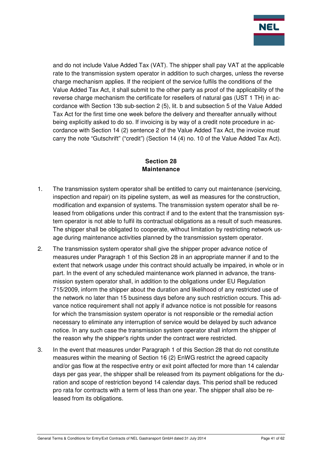

and do not include Value Added Tax (VAT). The shipper shall pay VAT at the applicable rate to the transmission system operator in addition to such charges, unless the reverse charge mechanism applies. If the recipient of the service fulfils the conditions of the Value Added Tax Act, it shall submit to the other party as proof of the applicability of the reverse charge mechanism the certificate for resellers of natural gas (UST 1 TH) in accordance with Section 13b sub-section 2 (5), lit. b and subsection 5 of the Value Added Tax Act for the first time one week before the delivery and thereafter annually without being explicitly asked to do so. If invoicing is by way of a credit note procedure in accordance with Section 14 (2) sentence 2 of the Value Added Tax Act, the invoice must carry the note "Gutschrift" ("credit") (Section 14 (4) no. 10 of the Value Added Tax Act).

## **Section 28 Maintenance**

- 1. The transmission system operator shall be entitled to carry out maintenance (servicing, inspection and repair) on its pipeline system, as well as measures for the construction, modification and expansion of systems. The transmission system operator shall be released from obligations under this contract if and to the extent that the transmission system operator is not able to fulfil its contractual obligations as a result of such measures. The shipper shall be obligated to cooperate, without limitation by restricting network usage during maintenance activities planned by the transmission system operator.
- 2. The transmission system operator shall give the shipper proper advance notice of measures under Paragraph 1 of this Section 28 in an appropriate manner if and to the extent that network usage under this contract should actually be impaired, in whole or in part. In the event of any scheduled maintenance work planned in advance, the transmission system operator shall, in addition to the obligations under EU Regulation 715/2009, inform the shipper about the duration and likelihood of any restricted use of the network no later than 15 business days before any such restriction occurs. This advance notice requirement shall not apply if advance notice is not possible for reasons for which the transmission system operator is not responsible or the remedial action necessary to eliminate any interruption of service would be delayed by such advance notice. In any such case the transmission system operator shall inform the shipper of the reason why the shipper's rights under the contract were restricted.
- 3. In the event that measures under Paragraph 1 of this Section 28 that do not constitute measures within the meaning of Section 16 (2) EnWG restrict the agreed capacity and/or gas flow at the respective entry or exit point affected for more than 14 calendar days per gas year, the shipper shall be released from its payment obligations for the duration and scope of restriction beyond 14 calendar days. This period shall be reduced pro rata for contracts with a term of less than one year. The shipper shall also be released from its obligations.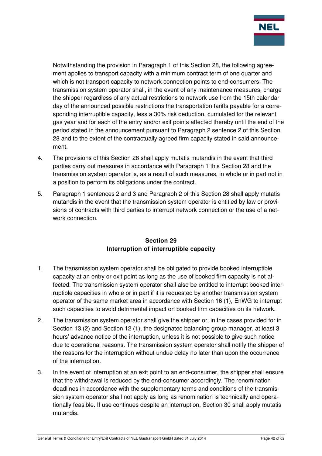

Notwithstanding the provision in Paragraph 1 of this Section 28, the following agreement applies to transport capacity with a minimum contract term of one quarter and which is not transport capacity to network connection points to end-consumers: The transmission system operator shall, in the event of any maintenance measures, charge the shipper regardless of any actual restrictions to network use from the 15th calendar day of the announced possible restrictions the transportation tariffs payable for a corresponding interruptible capacity, less a 30% risk deduction, cumulated for the relevant gas year and for each of the entry and/or exit points affected thereby until the end of the period stated in the announcement pursuant to Paragraph 2 sentence 2 of this Section 28 and to the extent of the contractually agreed firm capacity stated in said announcement.

- 4. The provisions of this Section 28 shall apply mutatis mutandis in the event that third parties carry out measures in accordance with Paragraph 1 this Section 28 and the transmission system operator is, as a result of such measures, in whole or in part not in a position to perform its obligations under the contract.
- 5. Paragraph 1 sentences 2 and 3 and Paragraph 2 of this Section 28 shall apply mutatis mutandis in the event that the transmission system operator is entitled by law or provisions of contracts with third parties to interrupt network connection or the use of a network connection.

## **Section 29 Interruption of interruptible capacity**

- 1. The transmission system operator shall be obligated to provide booked interruptible capacity at an entry or exit point as long as the use of booked firm capacity is not affected. The transmission system operator shall also be entitled to interrupt booked interruptible capacities in whole or in part if it is requested by another transmission system operator of the same market area in accordance with Section 16 (1), EnWG to interrupt such capacities to avoid detrimental impact on booked firm capacities on its network.
- 2. The transmission system operator shall give the shipper or, in the cases provided for in Section 13 (2) and Section 12 (1), the designated balancing group manager, at least 3 hours' advance notice of the interruption, unless it is not possible to give such notice due to operational reasons. The transmission system operator shall notify the shipper of the reasons for the interruption without undue delay no later than upon the occurrence of the interruption.
- 3. In the event of interruption at an exit point to an end-consumer, the shipper shall ensure that the withdrawal is reduced by the end-consumer accordingly. The renomination deadlines in accordance with the supplementary terms and conditions of the transmission system operator shall not apply as long as renomination is technically and operationally feasible. If use continues despite an interruption, Section 30 shall apply mutatis mutandis.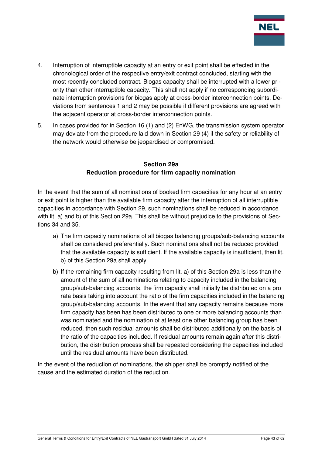

- 4. Interruption of interruptible capacity at an entry or exit point shall be effected in the chronological order of the respective entry/exit contract concluded, starting with the most recently concluded contract. Biogas capacity shall be interrupted with a lower priority than other interruptible capacity. This shall not apply if no corresponding subordinate interruption provisions for biogas apply at cross-border interconnection points. Deviations from sentences 1 and 2 may be possible if different provisions are agreed with the adjacent operator at cross-border interconnection points.
- 5. In cases provided for in Section 16 (1) and (2) EnWG, the transmission system operator may deviate from the procedure laid down in Section 29 (4) if the safety or reliability of the network would otherwise be jeopardised or compromised.

#### **Section 29a Reduction procedure for firm capacity nomination**

In the event that the sum of all nominations of booked firm capacities for any hour at an entry or exit point is higher than the available firm capacity after the interruption of all interruptible capacities in accordance with Section 29, such nominations shall be reduced in accordance with lit. a) and b) of this Section 29a. This shall be without prejudice to the provisions of Sections 34 and 35.

- a) The firm capacity nominations of all biogas balancing groups/sub-balancing accounts shall be considered preferentially. Such nominations shall not be reduced provided that the available capacity is sufficient. If the available capacity is insufficient, then lit. b) of this Section 29a shall apply.
- b) If the remaining firm capacity resulting from lit. a) of this Section 29a is less than the amount of the sum of all nominations relating to capacity included in the balancing group/sub-balancing accounts, the firm capacity shall initially be distributed on a pro rata basis taking into account the ratio of the firm capacities included in the balancing group/sub-balancing accounts. In the event that any capacity remains because more firm capacity has been has been distributed to one or more balancing accounts than was nominated and the nomination of at least one other balancing group has been reduced, then such residual amounts shall be distributed additionally on the basis of the ratio of the capacities included. If residual amounts remain again after this distribution, the distribution process shall be repeated considering the capacities included until the residual amounts have been distributed.

In the event of the reduction of nominations, the shipper shall be promptly notified of the cause and the estimated duration of the reduction.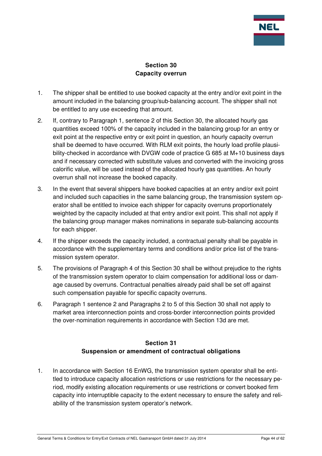

## **Section 30 Capacity overrun**

- 1. The shipper shall be entitled to use booked capacity at the entry and/or exit point in the amount included in the balancing group/sub-balancing account. The shipper shall not be entitled to any use exceeding that amount.
- 2. If, contrary to Paragraph 1, sentence 2 of this Section 30, the allocated hourly gas quantities exceed 100% of the capacity included in the balancing group for an entry or exit point at the respective entry or exit point in question, an hourly capacity overrun shall be deemed to have occurred. With RLM exit points, the hourly load profile plausibility-checked in accordance with DVGW code of practice G 685 at M+10 business days and if necessary corrected with substitute values and converted with the invoicing gross calorific value, will be used instead of the allocated hourly gas quantities. An hourly overrun shall not increase the booked capacity.
- 3. In the event that several shippers have booked capacities at an entry and/or exit point and included such capacities in the same balancing group, the transmission system operator shall be entitled to invoice each shipper for capacity overruns proportionately weighted by the capacity included at that entry and/or exit point. This shall not apply if the balancing group manager makes nominations in separate sub-balancing accounts for each shipper.
- 4. If the shipper exceeds the capacity included, a contractual penalty shall be payable in accordance with the supplementary terms and conditions and/or price list of the transmission system operator.
- 5. The provisions of Paragraph 4 of this Section 30 shall be without prejudice to the rights of the transmission system operator to claim compensation for additional loss or damage caused by overruns. Contractual penalties already paid shall be set off against such compensation payable for specific capacity overruns.
- 6. Paragraph 1 sentence 2 and Paragraphs 2 to 5 of this Section 30 shall not apply to market area interconnection points and cross-border interconnection points provided the over-nomination requirements in accordance with Section 13d are met.

## **Section 31 Suspension or amendment of contractual obligations**

1. In accordance with Section 16 EnWG, the transmission system operator shall be entitled to introduce capacity allocation restrictions or use restrictions for the necessary period, modify existing allocation requirements or use restrictions or convert booked firm capacity into interruptible capacity to the extent necessary to ensure the safety and reliability of the transmission system operator's network.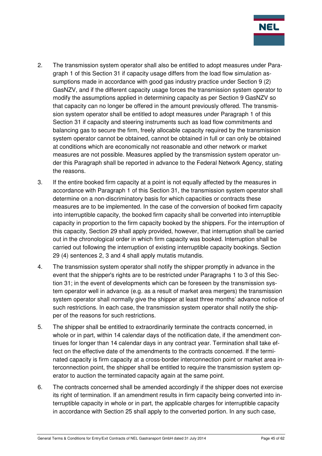

- 2. The transmission system operator shall also be entitled to adopt measures under Paragraph 1 of this Section 31 if capacity usage differs from the load flow simulation assumptions made in accordance with good gas industry practice under Section 9 (2) GasNZV, and if the different capacity usage forces the transmission system operator to modify the assumptions applied in determining capacity as per Section 9 GasNZV so that capacity can no longer be offered in the amount previously offered. The transmission system operator shall be entitled to adopt measures under Paragraph 1 of this Section 31 if capacity and steering instruments such as load flow commitments and balancing gas to secure the firm, freely allocable capacity required by the transmission system operator cannot be obtained, cannot be obtained in full or can only be obtained at conditions which are economically not reasonable and other network or market measures are not possible. Measures applied by the transmission system operator under this Paragraph shall be reported in advance to the Federal Network Agency, stating the reasons.
- 3. If the entire booked firm capacity at a point is not equally affected by the measures in accordance with Paragraph 1 of this Section 31, the transmission system operator shall determine on a non-discriminatory basis for which capacities or contracts these measures are to be implemented. In the case of the conversion of booked firm capacity into interruptible capacity, the booked firm capacity shall be converted into interruptible capacity in proportion to the firm capacity booked by the shippers. For the interruption of this capacity, Section 29 shall apply provided, however, that interruption shall be carried out in the chronological order in which firm capacity was booked. Interruption shall be carried out following the interruption of existing interruptible capacity bookings. Section 29 (4) sentences 2, 3 and 4 shall apply mutatis mutandis.
- 4. The transmission system operator shall notify the shipper promptly in advance in the event that the shipper's rights are to be restricted under Paragraphs 1 to 3 of this Section 31; in the event of developments which can be foreseen by the transmission system operator well in advance (e.g. as a result of market area mergers) the transmission system operator shall normally give the shipper at least three months' advance notice of such restrictions. In each case, the transmission system operator shall notify the shipper of the reasons for such restrictions.
- 5. The shipper shall be entitled to extraordinarily terminate the contracts concerned, in whole or in part, within 14 calendar days of the notification date, if the amendment continues for longer than 14 calendar days in any contract year. Termination shall take effect on the effective date of the amendments to the contracts concerned. If the terminated capacity is firm capacity at a cross-border interconnection point or market area interconnection point, the shipper shall be entitled to require the transmission system operator to auction the terminated capacity again at the same point.
- 6. The contracts concerned shall be amended accordingly if the shipper does not exercise its right of termination. If an amendment results in firm capacity being converted into interruptible capacity in whole or in part, the applicable charges for interruptible capacity in accordance with Section 25 shall apply to the converted portion. In any such case,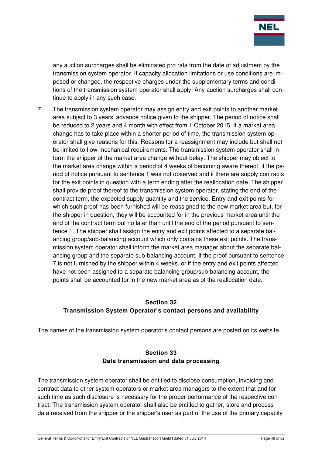

any auction surcharges shall be eliminated pro rata from the date of adjustment by the transmission system operator. If capacity allocation limitations or use conditions are imposed or changed, the respective charges under the supplementary terms and conditions of the transmission system operator shall apply. Any auction surcharges shall continue to apply in any such case.

7. The transmission system operator may assign entry and exit points to another market area subject to 3 years' advance notice given to the shipper. The period of notice shall be reduced to 2 years and 4 month with effect from 1 October 2015. If a market area change has to take place within a shorter period of time, the transmission system operator shall give reasons for this. Reasons for a reassignment may include but shall not be limited to flow-mechanical requirements. The transmission system operator shall inform the shipper of the market area change without delay. The shipper may object to the market area change within a period of 4 weeks of becoming aware thereof, if the period of notice pursuant to sentence 1 was not observed and if there are supply contracts for the exit points in question with a term ending after the reallocation date. The shipper shall provide proof thereof to the transmission system operator, stating the end of the contract term, the expected supply quantity and the service. Entry and exit points for which such proof has been furnished will be reassigned to the new market area but, for the shipper in question, they will be accounted for in the previous market area until the end of the contract term but no later than until the end of the period pursuant to sentence 1. The shipper shall assign the entry and exit points affected to a separate balancing group/sub-balancing account which only contains these exit points. The transmission system operator shall inform the market area manager about the separate balancing group and the separate sub-balancing account. If the proof pursuant to sentence 7 is not furnished by the shipper within 4 weeks, or if the entry and exit points affected have not been assigned to a separate balancing group/sub-balancing account, the points shall be accounted for in the new market area as of the reallocation date.

## **Section 32 Transmission System Operator's contact persons and availability**

The names of the transmission system operator's contact persons are posted on its website.

## **Section 33 Data transmission and data processing**

The transmission system operator shall be entitled to disclose consumption, invoicing and contract data to other system operators or market area managers to the extent that and for such time as such disclosure is necessary for the proper performance of the respective contract. The transmission system operator shall also be entitled to gather, store and process data received from the shipper or the shipper's user as part of the use of the primary capacity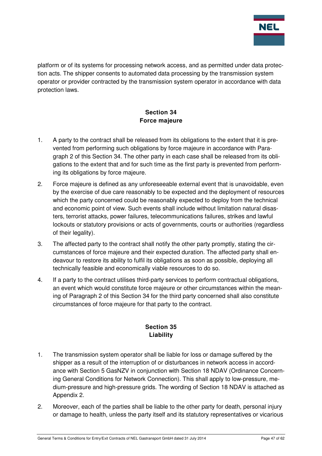

platform or of its systems for processing network access, and as permitted under data protection acts. The shipper consents to automated data processing by the transmission system operator or provider contracted by the transmission system operator in accordance with data protection laws.

## **Section 34 Force majeure**

- 1. A party to the contract shall be released from its obligations to the extent that it is prevented from performing such obligations by force majeure in accordance with Paragraph 2 of this Section 34. The other party in each case shall be released from its obligations to the extent that and for such time as the first party is prevented from performing its obligations by force majeure.
- 2. Force majeure is defined as any unforeseeable external event that is unavoidable, even by the exercise of due care reasonably to be expected and the deployment of resources which the party concerned could be reasonably expected to deploy from the technical and economic point of view. Such events shall include without limitation natural disasters, terrorist attacks, power failures, telecommunications failures, strikes and lawful lockouts or statutory provisions or acts of governments, courts or authorities (regardless of their legality).
- 3. The affected party to the contract shall notify the other party promptly, stating the circumstances of force majeure and their expected duration. The affected party shall endeavour to restore its ability to fulfil its obligations as soon as possible, deploying all technically feasible and economically viable resources to do so.
- 4. If a party to the contract utilises third-party services to perform contractual obligations, an event which would constitute force majeure or other circumstances within the meaning of Paragraph 2 of this Section 34 for the third party concerned shall also constitute circumstances of force majeure for that party to the contract.

## **Section 35 Liability**

- 1. The transmission system operator shall be liable for loss or damage suffered by the shipper as a result of the interruption of or disturbances in network access in accordance with Section 5 GasNZV in conjunction with Section 18 NDAV (Ordinance Concerning General Conditions for Network Connection). This shall apply to low-pressure, medium-pressure and high-pressure grids. The wording of Section 18 NDAV is attached as Appendix 2.
- 2. Moreover, each of the parties shall be liable to the other party for death, personal injury or damage to health, unless the party itself and its statutory representatives or vicarious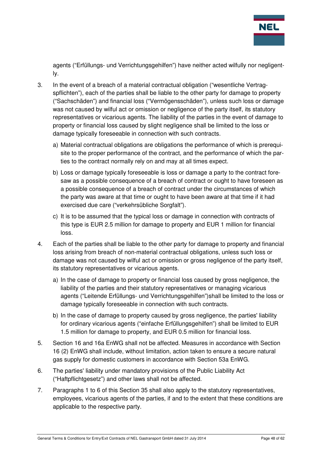

agents ("Erfüllungs- und Verrichtungsgehilfen") have neither acted wilfully nor negligently.

- 3. In the event of a breach of a material contractual obligation ("wesentliche Vertragspflichten"), each of the parties shall be liable to the other party for damage to property ("Sachschäden") and financial loss ("Vermögensschäden"), unless such loss or damage was not caused by wilful act or omission or negligence of the party itself, its statutory representatives or vicarious agents. The liability of the parties in the event of damage to property or financial loss caused by slight negligence shall be limited to the loss or damage typically foreseeable in connection with such contracts.
	- a) Material contractual obligations are obligations the performance of which is prerequisite to the proper performance of the contract, and the performance of which the parties to the contract normally rely on and may at all times expect.
	- b) Loss or damage typically foreseeable is loss or damage a party to the contract foresaw as a possible consequence of a breach of contract or ought to have foreseen as a possible consequence of a breach of contract under the circumstances of which the party was aware at that time or ought to have been aware at that time if it had exercised due care ("verkehrsübliche Sorgfalt").
	- c) It is to be assumed that the typical loss or damage in connection with contracts of this type is EUR 2.5 million for damage to property and EUR 1 million for financial loss.
- 4. Each of the parties shall be liable to the other party for damage to property and financial loss arising from breach of non-material contractual obligations, unless such loss or damage was not caused by wilful act or omission or gross negligence of the party itself, its statutory representatives or vicarious agents.
	- a) In the case of damage to property or financial loss caused by gross negligence, the liability of the parties and their statutory representatives or managing vicarious agents ("Leitende Erfüllungs- und Verrichtungsgehilfen")shall be limited to the loss or damage typically foreseeable in connection with such contracts.
	- b) In the case of damage to property caused by gross negligence, the parties' liability for ordinary vicarious agents ("einfache Erfüllungsgehilfen") shall be limited to EUR 1.5 million for damage to property, and EUR 0.5 million for financial loss.
- 5. Section 16 and 16a EnWG shall not be affected. Measures in accordance with Section 16 (2) EnWG shall include, without limitation, action taken to ensure a secure natural gas supply for domestic customers in accordance with Section 53a EnWG.
- 6. The parties' liability under mandatory provisions of the Public Liability Act ("Haftpflichtgesetz") and other laws shall not be affected.
- 7. Paragraphs 1 to 6 of this Section 35 shall also apply to the statutory representatives, employees, vicarious agents of the parties, if and to the extent that these conditions are applicable to the respective party.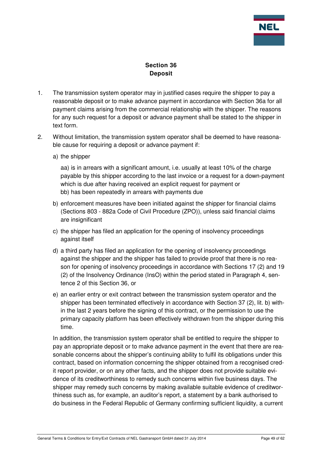

## **Section 36 Deposit**

- 1. The transmission system operator may in justified cases require the shipper to pay a reasonable deposit or to make advance payment in accordance with Section 36a for all payment claims arising from the commercial relationship with the shipper. The reasons for any such request for a deposit or advance payment shall be stated to the shipper in text form.
- 2. Without limitation, the transmission system operator shall be deemed to have reasonable cause for requiring a deposit or advance payment if:
	- a) the shipper

aa) is in arrears with a significant amount, i.e. usually at least 10% of the charge payable by this shipper according to the last invoice or a request for a down-payment which is due after having received an explicit request for payment or bb) has been repeatedly in arrears with payments due

- b) enforcement measures have been initiated against the shipper for financial claims (Sections 803 - 882a Code of Civil Procedure (ZPO)), unless said financial claims are insignificant
- c) the shipper has filed an application for the opening of insolvency proceedings against itself
- d) a third party has filed an application for the opening of insolvency proceedings against the shipper and the shipper has failed to provide proof that there is no reason for opening of insolvency proceedings in accordance with Sections 17 (2) and 19 (2) of the Insolvency Ordinance (InsO) within the period stated in Paragraph 4, sentence 2 of this Section 36, or
- e) an earlier entry or exit contract between the transmission system operator and the shipper has been terminated effectively in accordance with Section 37 (2), lit. b) within the last 2 years before the signing of this contract, or the permission to use the primary capacity platform has been effectively withdrawn from the shipper during this time.

In addition, the transmission system operator shall be entitled to require the shipper to pay an appropriate deposit or to make advance payment in the event that there are reasonable concerns about the shipper's continuing ability to fulfil its obligations under this contract, based on information concerning the shipper obtained from a recognised credit report provider, or on any other facts, and the shipper does not provide suitable evidence of its creditworthiness to remedy such concerns within five business days. The shipper may remedy such concerns by making available suitable evidence of creditworthiness such as, for example, an auditor's report, a statement by a bank authorised to do business in the Federal Republic of Germany confirming sufficient liquidity, a current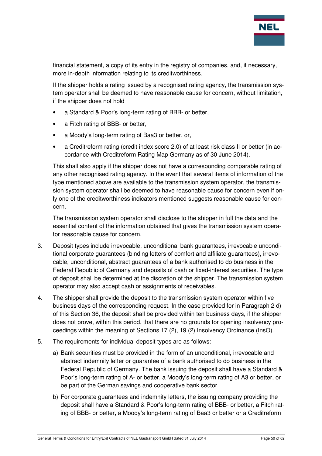

financial statement, a copy of its entry in the registry of companies, and, if necessary, more in-depth information relating to its creditworthiness.

If the shipper holds a rating issued by a recognised rating agency, the transmission system operator shall be deemed to have reasonable cause for concern, without limitation, if the shipper does not hold

- a Standard & Poor's long-term rating of BBB- or better,
- a Fitch rating of BBB- or better,
- a Moody's long-term rating of Baa3 or better, or,
- a Creditreform rating (credit index score 2.0) of at least risk class II or better (in accordance with Creditreform Rating Map Germany as of 30 June 2014).

This shall also apply if the shipper does not have a corresponding comparable rating of any other recognised rating agency. In the event that several items of information of the type mentioned above are available to the transmission system operator, the transmission system operator shall be deemed to have reasonable cause for concern even if only one of the creditworthiness indicators mentioned suggests reasonable cause for concern.

The transmission system operator shall disclose to the shipper in full the data and the essential content of the information obtained that gives the transmission system operator reasonable cause for concern.

- 3. Deposit types include irrevocable, unconditional bank guarantees, irrevocable unconditional corporate guarantees (binding letters of comfort and affiliate guarantees), irrevocable, unconditional, abstract guarantees of a bank authorised to do business in the Federal Republic of Germany and deposits of cash or fixed-interest securities. The type of deposit shall be determined at the discretion of the shipper. The transmission system operator may also accept cash or assignments of receivables.
- 4. The shipper shall provide the deposit to the transmission system operator within five business days of the corresponding request. In the case provided for in Paragraph 2 d) of this Section 36, the deposit shall be provided within ten business days, if the shipper does not prove, within this period, that there are no grounds for opening insolvency proceedings within the meaning of Sections 17 (2), 19 (2) Insolvency Ordinance (InsO).
- 5. The requirements for individual deposit types are as follows:
	- a) Bank securities must be provided in the form of an unconditional, irrevocable and abstract indemnity letter or guarantee of a bank authorised to do business in the Federal Republic of Germany. The bank issuing the deposit shall have a Standard & Poor's long-term rating of A- or better, a Moody's long-term rating of A3 or better, or be part of the German savings and cooperative bank sector.
	- b) For corporate guarantees and indemnity letters, the issuing company providing the deposit shall have a Standard & Poor's long-term rating of BBB- or better, a Fitch rating of BBB- or better, a Moody's long-term rating of Baa3 or better or a Creditreform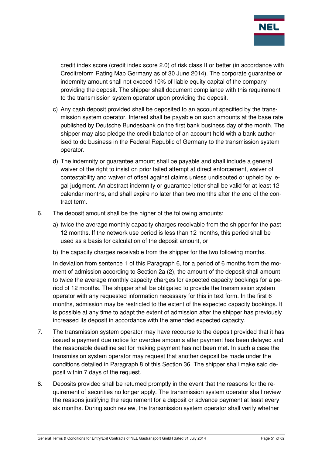

credit index score (credit index score 2.0) of risk class II or better (in accordance with Creditreform Rating Map Germany as of 30 June 2014). The corporate guarantee or indemnity amount shall not exceed 10% of liable equity capital of the company providing the deposit. The shipper shall document compliance with this requirement to the transmission system operator upon providing the deposit.

- c) Any cash deposit provided shall be deposited to an account specified by the transmission system operator. Interest shall be payable on such amounts at the base rate published by Deutsche Bundesbank on the first bank business day of the month. The shipper may also pledge the credit balance of an account held with a bank authorised to do business in the Federal Republic of Germany to the transmission system operator.
- d) The indemnity or guarantee amount shall be payable and shall include a general waiver of the right to insist on prior failed attempt at direct enforcement, waiver of contestability and waiver of offset against claims unless undisputed or upheld by legal judgment. An abstract indemnity or guarantee letter shall be valid for at least 12 calendar months, and shall expire no later than two months after the end of the contract term.
- 6. The deposit amount shall be the higher of the following amounts:
	- a) twice the average monthly capacity charges receivable from the shipper for the past 12 months. If the network use period is less than 12 months, this period shall be used as a basis for calculation of the deposit amount, or
	- b) the capacity charges receivable from the shipper for the two following months.

In deviation from sentence 1 of this Paragraph 6, for a period of 6 months from the moment of admission according to Section 2a (2), the amount of the deposit shall amount to twice the average monthly capacity charges for expected capacity bookings for a period of 12 months. The shipper shall be obligated to provide the transmission system operator with any requested information necessary for this in text form. In the first 6 months, admission may be restricted to the extent of the expected capacity bookings. It is possible at any time to adapt the extent of admission after the shipper has previously increased its deposit in accordance with the amended expected capacity.

- 7. The transmission system operator may have recourse to the deposit provided that it has issued a payment due notice for overdue amounts after payment has been delayed and the reasonable deadline set for making payment has not been met. In such a case the transmission system operator may request that another deposit be made under the conditions detailed in Paragraph 8 of this Section 36. The shipper shall make said deposit within 7 days of the request.
- 8. Deposits provided shall be returned promptly in the event that the reasons for the requirement of securities no longer apply. The transmission system operator shall review the reasons justifying the requirement for a deposit or advance payment at least every six months. During such review, the transmission system operator shall verify whether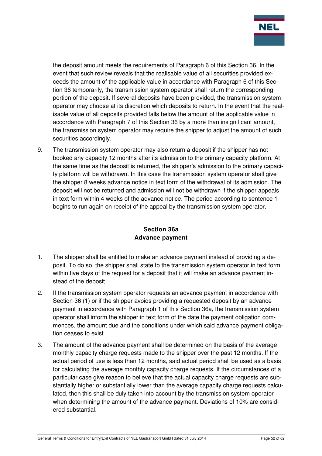

the deposit amount meets the requirements of Paragraph 6 of this Section 36. In the event that such review reveals that the realisable value of all securities provided exceeds the amount of the applicable value in accordance with Paragraph 6 of this Section 36 temporarily, the transmission system operator shall return the corresponding portion of the deposit. If several deposits have been provided, the transmission system operator may choose at its discretion which deposits to return. In the event that the realisable value of all deposits provided falls below the amount of the applicable value in accordance with Paragraph 7 of this Section 36 by a more than insignificant amount, the transmission system operator may require the shipper to adjust the amount of such securities accordingly.

9. The transmission system operator may also return a deposit if the shipper has not booked any capacity 12 months after its admission to the primary capacity platform. At the same time as the deposit is returned, the shipper's admission to the primary capacity platform will be withdrawn. In this case the transmission system operator shall give the shipper 8 weeks advance notice in text form of the withdrawal of its admission. The deposit will not be returned and admission will not be withdrawn if the shipper appeals in text form within 4 weeks of the advance notice. The period according to sentence 1 begins to run again on receipt of the appeal by the transmission system operator.

## **Section 36a Advance payment**

- 1. The shipper shall be entitled to make an advance payment instead of providing a deposit. To do so, the shipper shall state to the transmission system operator in text form within five days of the request for a deposit that it will make an advance payment instead of the deposit.
- 2. If the transmission system operator requests an advance payment in accordance with Section 36 (1) or if the shipper avoids providing a requested deposit by an advance payment in accordance with Paragraph 1 of this Section 36a, the transmission system operator shall inform the shipper in text form of the date the payment obligation commences, the amount due and the conditions under which said advance payment obligation ceases to exist.
- 3. The amount of the advance payment shall be determined on the basis of the average monthly capacity charge requests made to the shipper over the past 12 months. If the actual period of use is less than 12 months, said actual period shall be used as a basis for calculating the average monthly capacity charge requests. If the circumstances of a particular case give reason to believe that the actual capacity charge requests are substantially higher or substantially lower than the average capacity charge requests calculated, then this shall be duly taken into account by the transmission system operator when determining the amount of the advance payment. Deviations of 10% are considered substantial.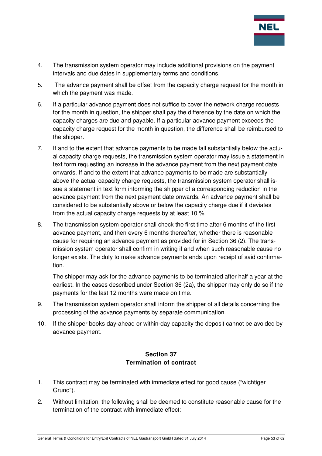

- 4. The transmission system operator may include additional provisions on the payment intervals and due dates in supplementary terms and conditions.
- 5. The advance payment shall be offset from the capacity charge request for the month in which the payment was made.
- 6. If a particular advance payment does not suffice to cover the network charge requests for the month in question, the shipper shall pay the difference by the date on which the capacity charges are due and payable. If a particular advance payment exceeds the capacity charge request for the month in question, the difference shall be reimbursed to the shipper.
- 7. If and to the extent that advance payments to be made fall substantially below the actual capacity charge requests, the transmission system operator may issue a statement in text form requesting an increase in the advance payment from the next payment date onwards. If and to the extent that advance payments to be made are substantially above the actual capacity charge requests, the transmission system operator shall issue a statement in text form informing the shipper of a corresponding reduction in the advance payment from the next payment date onwards. An advance payment shall be considered to be substantially above or below the capacity charge due if it deviates from the actual capacity charge requests by at least 10 %.
- 8. The transmission system operator shall check the first time after 6 months of the first advance payment, and then every 6 months thereafter, whether there is reasonable cause for requiring an advance payment as provided for in Section 36 (2). The transmission system operator shall confirm in writing if and when such reasonable cause no longer exists. The duty to make advance payments ends upon receipt of said confirmation.

The shipper may ask for the advance payments to be terminated after half a year at the earliest. In the cases described under Section 36 (2a), the shipper may only do so if the payments for the last 12 months were made on time.

- 9. The transmission system operator shall inform the shipper of all details concerning the processing of the advance payments by separate communication.
- 10. If the shipper books day-ahead or within-day capacity the deposit cannot be avoided by advance payment.

## **Section 37 Termination of contract**

- 1. This contract may be terminated with immediate effect for good cause ("wichtiger Grund").
- 2. Without limitation, the following shall be deemed to constitute reasonable cause for the termination of the contract with immediate effect: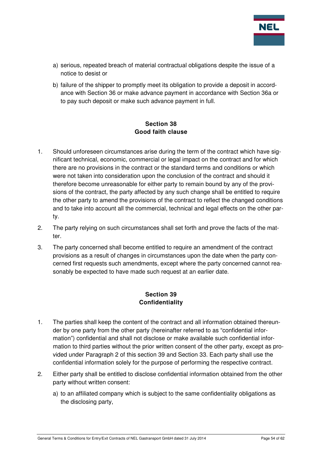

- a) serious, repeated breach of material contractual obligations despite the issue of a notice to desist or
- b) failure of the shipper to promptly meet its obligation to provide a deposit in accordance with Section 36 or make advance payment in accordance with Section 36a or to pay such deposit or make such advance payment in full.

## **Section 38 Good faith clause**

- 1. Should unforeseen circumstances arise during the term of the contract which have significant technical, economic, commercial or legal impact on the contract and for which there are no provisions in the contract or the standard terms and conditions or which were not taken into consideration upon the conclusion of the contract and should it therefore become unreasonable for either party to remain bound by any of the provisions of the contract, the party affected by any such change shall be entitled to require the other party to amend the provisions of the contract to reflect the changed conditions and to take into account all the commercial, technical and legal effects on the other party.
- 2. The party relying on such circumstances shall set forth and prove the facts of the matter.
- 3. The party concerned shall become entitled to require an amendment of the contract provisions as a result of changes in circumstances upon the date when the party concerned first requests such amendments, except where the party concerned cannot reasonably be expected to have made such request at an earlier date.

## **Section 39 Confidentiality**

- 1. The parties shall keep the content of the contract and all information obtained thereunder by one party from the other party (hereinafter referred to as "confidential information") confidential and shall not disclose or make available such confidential information to third parties without the prior written consent of the other party, except as provided under Paragraph 2 of this section 39 and Section 33. Each party shall use the confidential information solely for the purpose of performing the respective contract.
- 2. Either party shall be entitled to disclose confidential information obtained from the other party without written consent:
	- a) to an affiliated company which is subject to the same confidentiality obligations as the disclosing party,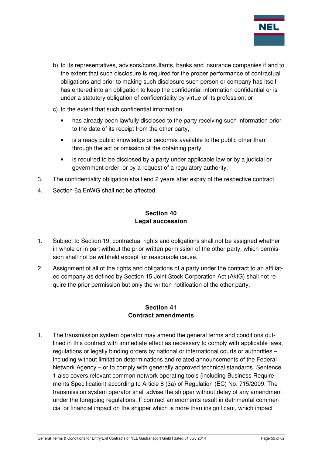

- b) to its representatives, advisors/consultants, banks and insurance companies if and to the extent that such disclosure is required for the proper performance of contractual obligations and prior to making such disclosure such person or company has itself has entered into an obligation to keep the confidential information confidential or is under a statutory obligation of confidentiality by virtue of its profession; or
- c) to the extent that such confidential information
	- has already been lawfully disclosed to the party receiving such information prior to the date of its receipt from the other party,
	- is already public knowledge or becomes available to the public other than through the act or omission of the obtaining party,
	- is required to be disclosed by a party under applicable law or by a judicial or government order, or by a request of a regulatory authority.
- 3. The confidentiality obligation shall end 2 years after expiry of the respective contract.
- 4. Section 6a EnWG shall not be affected.

## **Section 40 Legal succession**

- 1. Subject to Section 19, contractual rights and obligations shall not be assigned whether in whole or in part without the prior written permission of the other party, which permission shall not be withheld except for reasonable cause.
- 2. Assignment of all of the rights and obligations of a party under the contract to an affiliated company as defined by Section 15 Joint Stock Corporation Act (AktG) shall not require the prior permission but only the written notification of the other party.

## **Section 41 Contract amendments**

1. The transmission system operator may amend the general terms and conditions outlined in this contract with immediate effect as necessary to comply with applicable laws, regulations or legally binding orders by national or international courts or authorities – including without limitation determinations and related announcements of the Federal Network Agency – or to comply with generally approved technical standards. Sentence 1 also covers relevant common network operating tools (including Business Requirements Specification) according to Article 8 (3a) of Regulation (EC) No. 715/2009. The transmission system operator shall advise the shipper without delay of any amendment under the foregoing regulations. If contract amendments result in detrimental commercial or financial impact on the shipper which is more than insignificant, which impact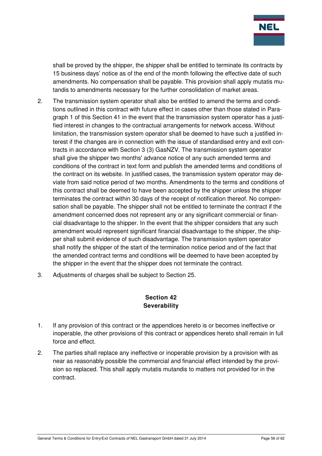

shall be proved by the shipper, the shipper shall be entitled to terminate its contracts by 15 business days' notice as of the end of the month following the effective date of such amendments. No compensation shall be payable. This provision shall apply mutatis mutandis to amendments necessary for the further consolidation of market areas.

- 2. The transmission system operator shall also be entitled to amend the terms and conditions outlined in this contract with future effect in cases other than those stated in Paragraph 1 of this Section 41 in the event that the transmission system operator has a justified interest in changes to the contractual arrangements for network access. Without limitation, the transmission system operator shall be deemed to have such a justified interest if the changes are in connection with the issue of standardised entry and exit contracts in accordance with Section 3 (3) GasNZV. The transmission system operator shall give the shipper two months' advance notice of any such amended terms and conditions of the contract in text form and publish the amended terms and conditions of the contract on its website. In justified cases, the transmission system operator may deviate from said notice period of two months. Amendments to the terms and conditions of this contract shall be deemed to have been accepted by the shipper unless the shipper terminates the contract within 30 days of the receipt of notification thereof. No compensation shall be payable. The shipper shall not be entitled to terminate the contract if the amendment concerned does not represent any or any significant commercial or financial disadvantage to the shipper. In the event that the shipper considers that any such amendment would represent significant financial disadvantage to the shipper, the shipper shall submit evidence of such disadvantage. The transmission system operator shall notify the shipper of the start of the termination notice period and of the fact that the amended contract terms and conditions will be deemed to have been accepted by the shipper in the event that the shipper does not terminate the contract.
- 3. Adjustments of charges shall be subject to Section 25.

## **Section 42 Severability**

- 1. If any provision of this contract or the appendices hereto is or becomes ineffective or inoperable, the other provisions of this contract or appendices hereto shall remain in full force and effect.
- 2. The parties shall replace any ineffective or inoperable provision by a provision with as near as reasonably possible the commercial and financial effect intended by the provision so replaced. This shall apply mutatis mutandis to matters not provided for in the contract.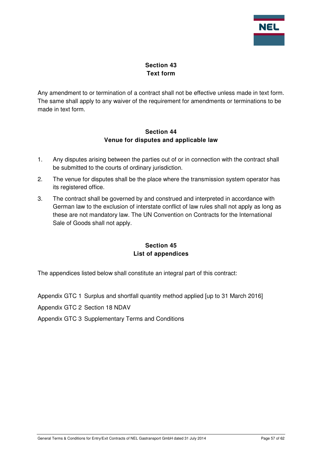

## **Section 43 Text form**

Any amendment to or termination of a contract shall not be effective unless made in text form. The same shall apply to any waiver of the requirement for amendments or terminations to be made in text form.

#### **Section 44 Venue for disputes and applicable law**

- 1. Any disputes arising between the parties out of or in connection with the contract shall be submitted to the courts of ordinary jurisdiction.
- 2. The venue for disputes shall be the place where the transmission system operator has its registered office.
- 3. The contract shall be governed by and construed and interpreted in accordance with German law to the exclusion of interstate conflict of law rules shall not apply as long as these are not mandatory law. The UN Convention on Contracts for the International Sale of Goods shall not apply.

## **Section 45 List of appendices**

The appendices listed below shall constitute an integral part of this contract:

Appendix GTC 1 Surplus and shortfall quantity method applied [up to 31 March 2016]

Appendix GTC 2 Section 18 NDAV

Appendix GTC 3 Supplementary Terms and Conditions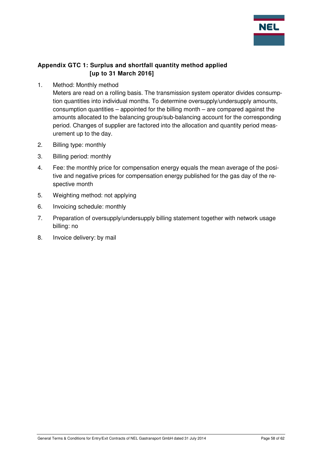

## **Appendix GTC 1: Surplus and shortfall quantity method applied [up to 31 March 2016]**

1. Method: Monthly method

Meters are read on a rolling basis. The transmission system operator divides consumption quantities into individual months. To determine oversupply/undersupply amounts, consumption quantities – appointed for the billing month – are compared against the amounts allocated to the balancing group/sub-balancing account for the corresponding period. Changes of supplier are factored into the allocation and quantity period measurement up to the day.

- 2. Billing type: monthly
- 3. Billing period: monthly
- 4. Fee: the monthly price for compensation energy equals the mean average of the positive and negative prices for compensation energy published for the gas day of the respective month
- 5. Weighting method: not applying
- 6. Invoicing schedule: monthly
- 7. Preparation of oversupply/undersupply billing statement together with network usage billing: no
- 8. Invoice delivery: by mail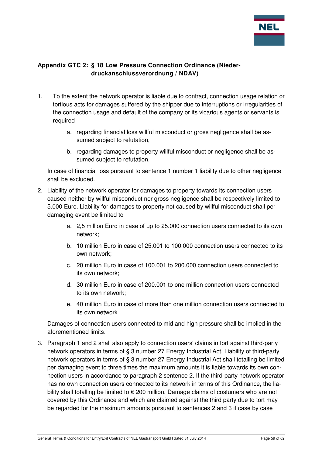

## **Appendix GTC 2: § 18 Low Pressure Connection Ordinance (Niederdruckanschlussverordnung / NDAV)**

- 1. To the extent the network operator is liable due to contract, connection usage relation or tortious acts for damages suffered by the shipper due to interruptions or irregularities of the connection usage and default of the company or its vicarious agents or servants is required
	- a. regarding financial loss willful misconduct or gross negligence shall be assumed subject to refutation,
	- b. regarding damages to property willful misconduct or negligence shall be assumed subject to refutation.

In case of financial loss pursuant to sentence 1 number 1 liability due to other negligence shall be excluded.

- 2. Liability of the network operator for damages to property towards its connection users caused neither by willful misconduct nor gross negligence shall be respectively limited to 5.000 Euro. Liability for damages to property not caused by willful misconduct shall per damaging event be limited to
	- a. 2,5 million Euro in case of up to 25.000 connection users connected to its own network;
	- b. 10 million Euro in case of 25.001 to 100.000 connection users connected to its own network;
	- c. 20 million Euro in case of 100.001 to 200.000 connection users connected to its own network;
	- d. 30 million Euro in case of 200.001 to one million connection users connected to its own network;
	- e. 40 million Euro in case of more than one million connection users connected to its own network.

Damages of connection users connected to mid and high pressure shall be implied in the aforementioned limits.

3. Paragraph 1 and 2 shall also apply to connection users' claims in tort against third-party network operators in terms of § 3 number 27 Energy Industrial Act. Liability of third-party network operators in terms of § 3 number 27 Energy Industrial Act shall totalling be limited per damaging event to three times the maximum amounts it is liable towards its own connection users in accordance to paragraph 2 sentence 2. If the third-party network operator has no own connection users connected to its network in terms of this Ordinance, the liability shall totalling be limited to € 200 million. Damage claims of costumers who are not covered by this Ordinance and which are claimed against the third party due to tort may be regarded for the maximum amounts pursuant to sentences 2 and 3 if case by case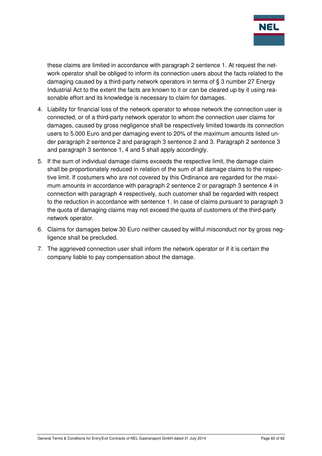

these claims are limited in accordance with paragraph 2 sentence 1. At request the network operator shall be obliged to inform its connection users about the facts related to the damaging caused by a third-party network operators in terms of § 3 number 27 Energy Industrial Act to the extent the facts are known to it or can be cleared up by it using reasonable effort and its knowledge is necessary to claim for damages.

- 4. Liability for financial loss of the network operator to whose network the connection user is connected, or of a third-party network operator to whom the connection user claims for damages, caused by gross negligence shall be respectively limited towards its connection users to 5.000 Euro and per damaging event to 20% of the maximum amounts listed under paragraph 2 sentence 2 and paragraph 3 sentence 2 and 3. Paragraph 2 sentence 3 and paragraph 3 sentence 1, 4 and 5 shall apply accordingly.
- 5. If the sum of individual damage claims exceeds the respective limit, the damage claim shall be proportionately reduced in relation of the sum of all damage claims to the respective limit. If costumers who are not covered by this Ordinance are regarded for the maximum amounts in accordance with paragraph 2 sentence 2 or paragraph 3 sentence 4 in connection with paragraph 4 respectively, such customer shall be regarded with respect to the reduction in accordance with sentence 1. In case of claims pursuant to paragraph 3 the quota of damaging claims may not exceed the quota of customers of the third-party network operator.
- 6. Claims for damages below 30 Euro neither caused by willful misconduct nor by gross negligence shall be precluded.
- 7. The aggrieved connection user shall inform the network operator or if it is certain the company liable to pay compensation about the damage.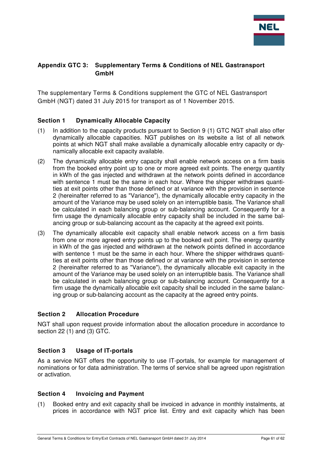

## **Appendix GTC 3: Supplementary Terms & Conditions of NEL Gastransport GmbH**

The supplementary Terms & Conditions supplement the GTC of NEL Gastransport GmbH (NGT) dated 31 July 2015 for transport as of 1 November 2015.

#### **Section 1 Dynamically Allocable Capacity**

- (1) In addition to the capacity products pursuant to Section 9 (1) GTC NGT shall also offer dynamically allocable capacities. NGT publishes on its website a list of all network points at which NGT shall make available a dynamically allocable entry capacity or dynamically allocable exit capacity available.
- (2) The dynamically allocable entry capacity shall enable network access on a firm basis from the booked entry point up to one or more agreed exit points. The energy quantity in kWh of the gas injected and withdrawn at the network points defined in accordance with sentence 1 must be the same in each hour. Where the shipper withdraws quantities at exit points other than those defined or at variance with the provision in sentence 2 (hereinafter referred to as "Variance"), the dynamically allocable entry capacity in the amount of the Variance may be used solely on an interruptible basis. The Variance shall be calculated in each balancing group or sub-balancing account. Consequently for a firm usage the dynamically allocable entry capacity shall be included in the same balancing group or sub-balancing account as the capacity at the agreed exit points.
- (3) The dynamically allocable exit capacity shall enable network access on a firm basis from one or more agreed entry points up to the booked exit point. The energy quantity in kWh of the gas injected and withdrawn at the network points defined in accordance with sentence 1 must be the same in each hour. Where the shipper withdraws quantities at exit points other than those defined or at variance with the provision in sentence 2 (hereinafter referred to as "Variance"), the dynamically allocable exit capacity in the amount of the Variance may be used solely on an interruptible basis. The Variance shall be calculated in each balancing group or sub-balancing account. Consequently for a firm usage the dynamically allocable exit capacity shall be included in the same balancing group or sub-balancing account as the capacity at the agreed entry points.

#### **Section 2 Allocation Procedure**

NGT shall upon request provide information about the allocation procedure in accordance to section 22 (1) and (3) GTC.

#### **Section 3 Usage of IT-portals**

As a service NGT offers the opportunity to use IT-portals, for example for management of nominations or for data administration. The terms of service shall be agreed upon registration or activation.

#### **Section 4 Invoicing and Payment**

(1) Booked entry and exit capacity shall be invoiced in advance in monthly instalments, at prices in accordance with NGT price list. Entry and exit capacity which has been